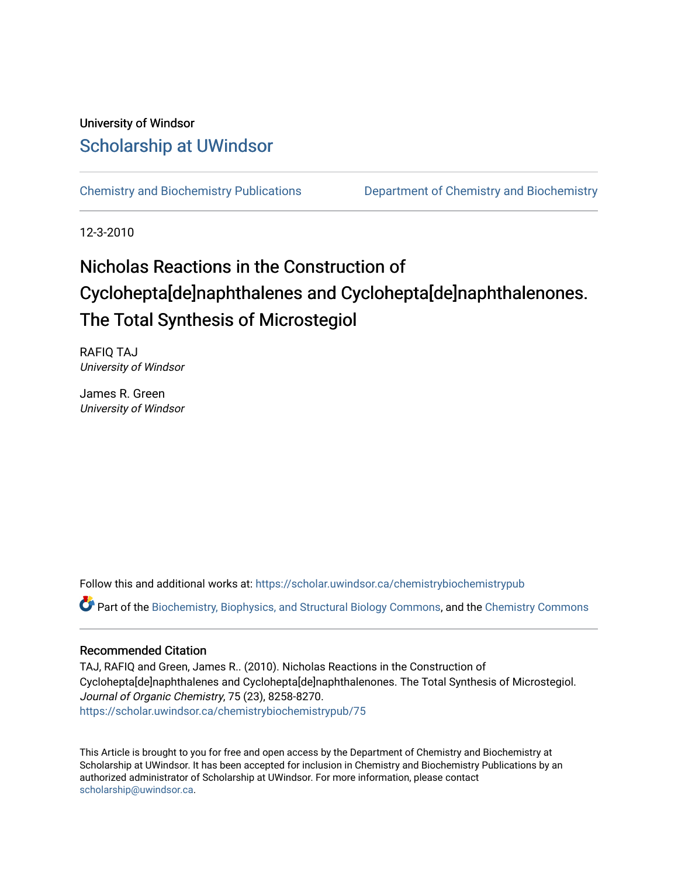### University of Windsor [Scholarship at UWindsor](https://scholar.uwindsor.ca/)

[Chemistry and Biochemistry Publications](https://scholar.uwindsor.ca/chemistrybiochemistrypub) [Department of Chemistry and Biochemistry](https://scholar.uwindsor.ca/chemistrybiochemistry) 

12-3-2010

## Nicholas Reactions in the Construction of Cyclohepta[de]naphthalenes and Cyclohepta[de]naphthalenones. The Total Synthesis of Microstegiol

RAFIQ TAJ University of Windsor

James R. Green University of Windsor

Follow this and additional works at: [https://scholar.uwindsor.ca/chemistrybiochemistrypub](https://scholar.uwindsor.ca/chemistrybiochemistrypub?utm_source=scholar.uwindsor.ca%2Fchemistrybiochemistrypub%2F75&utm_medium=PDF&utm_campaign=PDFCoverPages)

Part of the [Biochemistry, Biophysics, and Structural Biology Commons](http://network.bepress.com/hgg/discipline/1?utm_source=scholar.uwindsor.ca%2Fchemistrybiochemistrypub%2F75&utm_medium=PDF&utm_campaign=PDFCoverPages), and the [Chemistry Commons](http://network.bepress.com/hgg/discipline/131?utm_source=scholar.uwindsor.ca%2Fchemistrybiochemistrypub%2F75&utm_medium=PDF&utm_campaign=PDFCoverPages) 

#### Recommended Citation

TAJ, RAFIQ and Green, James R.. (2010). Nicholas Reactions in the Construction of Cyclohepta[de]naphthalenes and Cyclohepta[de]naphthalenones. The Total Synthesis of Microstegiol. Journal of Organic Chemistry, 75 (23), 8258-8270. [https://scholar.uwindsor.ca/chemistrybiochemistrypub/75](https://scholar.uwindsor.ca/chemistrybiochemistrypub/75?utm_source=scholar.uwindsor.ca%2Fchemistrybiochemistrypub%2F75&utm_medium=PDF&utm_campaign=PDFCoverPages)

This Article is brought to you for free and open access by the Department of Chemistry and Biochemistry at Scholarship at UWindsor. It has been accepted for inclusion in Chemistry and Biochemistry Publications by an authorized administrator of Scholarship at UWindsor. For more information, please contact [scholarship@uwindsor.ca.](mailto:scholarship@uwindsor.ca)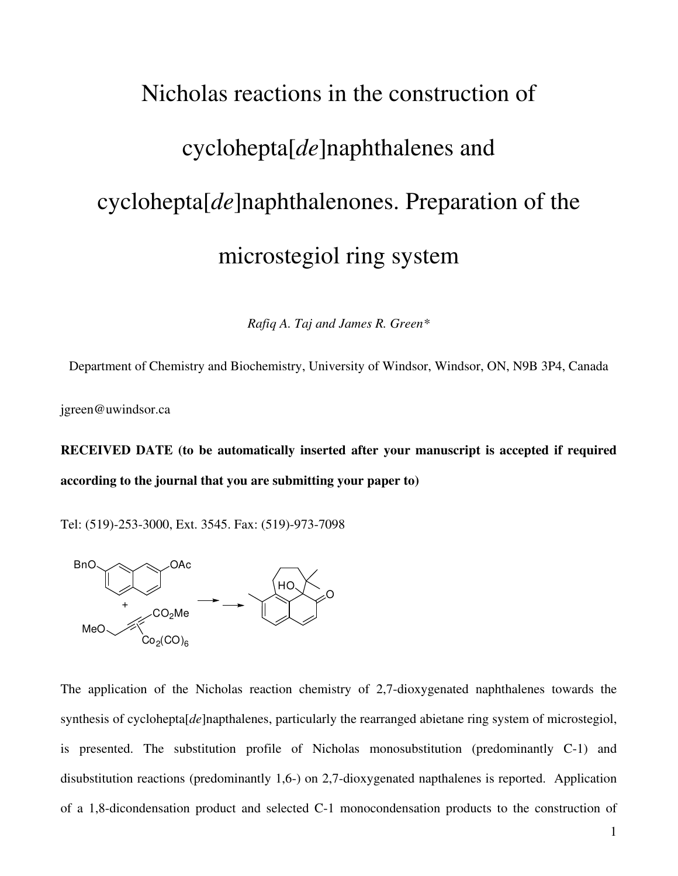# Nicholas reactions in the construction of cyclohepta[*de*]naphthalenes and cyclohepta[*de*]naphthalenones. Preparation of the microstegiol ring system

*Rafiq A. Taj and James R. Green\** 

Department of Chemistry and Biochemistry, University of Windsor, Windsor, ON, N9B 3P4, Canada

jgreen@uwindsor.ca

**RECEIVED DATE (to be automatically inserted after your manuscript is accepted if required according to the journal that you are submitting your paper to)** 

Tel: (519)-253-3000, Ext. 3545. Fax: (519)-973-7098



The application of the Nicholas reaction chemistry of 2,7-dioxygenated naphthalenes towards the synthesis of cyclohepta[*de*]napthalenes, particularly the rearranged abietane ring system of microstegiol, is presented. The substitution profile of Nicholas monosubstitution (predominantly C-1) and disubstitution reactions (predominantly 1,6-) on 2,7-dioxygenated napthalenes is reported. Application of a 1,8-dicondensation product and selected C-1 monocondensation products to the construction of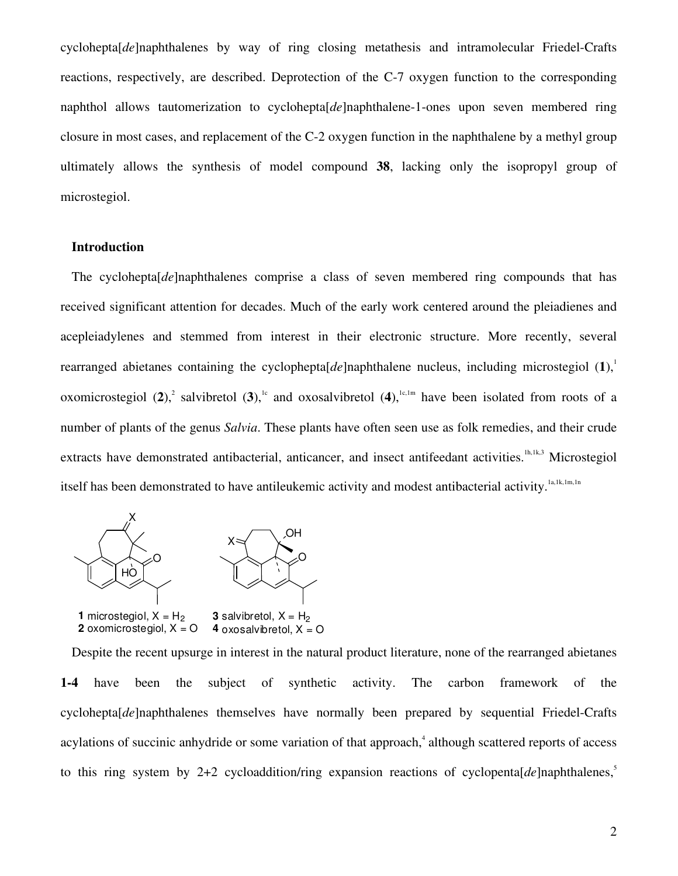cyclohepta[*de*]naphthalenes by way of ring closing metathesis and intramolecular Friedel-Crafts reactions, respectively, are described. Deprotection of the C-7 oxygen function to the corresponding naphthol allows tautomerization to cyclohepta[*de*]naphthalene-1-ones upon seven membered ring closure in most cases, and replacement of the C-2 oxygen function in the naphthalene by a methyl group ultimately allows the synthesis of model compound **38**, lacking only the isopropyl group of microstegiol.

#### **Introduction**

The cyclohepta[*de*]naphthalenes comprise a class of seven membered ring compounds that has received significant attention for decades. Much of the early work centered around the pleiadienes and acepleiadylenes and stemmed from interest in their electronic structure. More recently, several rearranged abietanes containing the cyclophepta $[de]$ naphthalene nucleus, including microstegiol  $(1)$ ,<sup>1</sup> oxomicrostegiol  $(2)$ ,<sup>2</sup> salvibretol  $(3)$ ,<sup>1c</sup> and oxosalvibretol  $(4)$ ,<sup>1c,1m</sup> have been isolated from roots of a number of plants of the genus *Salvia*. These plants have often seen use as folk remedies, and their crude extracts have demonstrated antibacterial, anticancer, and insect antifeedant activities.<sup>1h,1k,3</sup> Microstegiol itself has been demonstrated to have antileukemic activity and modest antibacterial activity.<sup>1a,1k,1m,1n</sup>



**1** microstegiol,  $X = H_2$ **2** oxomicrostegiol,  $X = Q$ **3** salvibretol,  $X = H_2$ **4** oxosalvibretol,  $X = Q$ 

Despite the recent upsurge in interest in the natural product literature, none of the rearranged abietanes **1-4** have been the subject of synthetic activity. The carbon framework of the cyclohepta[*de*]naphthalenes themselves have normally been prepared by sequential Friedel-Crafts acylations of succinic anhydride or some variation of that approach,<sup>4</sup> although scattered reports of access to this ring system by 2+2 cycloaddition/ring expansion reactions of cyclopenta<sup>[ $de$ </sup>]naphthalenes.<sup>5</sup>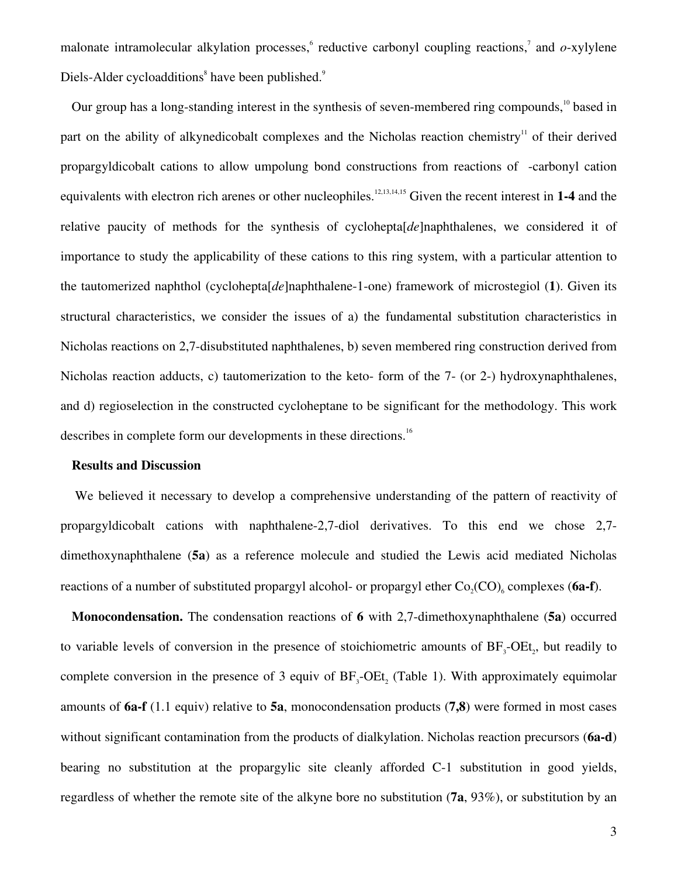malonate intramolecular alkylation processes, reductive carbonyl coupling reactions,<sup>7</sup> and *o*-xylylene Diels-Alder cycloadditions<sup>8</sup> have been published.<sup>9</sup>

Our group has a long-standing interest in the synthesis of seven-membered ring compounds,<sup>10</sup> based in part on the ability of alkynedicobalt complexes and the Nicholas reaction chemistry<sup>11</sup> of their derived propargyldicobalt cations to allow umpolung bond constructions from reactions of -carbonyl cation equivalents with electron rich arenes or other nucleophiles.<sup>12,13,14,15</sup> Given the recent interest in 1-4 and the relative paucity of methods for the synthesis of cyclohepta[*de*]naphthalenes, we considered it of importance to study the applicability of these cations to this ring system, with a particular attention to the tautomerized naphthol (cyclohepta[*de*]naphthalene-1-one) framework of microstegiol (**1**). Given its structural characteristics, we consider the issues of a) the fundamental substitution characteristics in Nicholas reactions on 2,7-disubstituted naphthalenes, b) seven membered ring construction derived from Nicholas reaction adducts, c) tautomerization to the keto- form of the 7- (or 2-) hydroxynaphthalenes, and d) regioselection in the constructed cycloheptane to be significant for the methodology. This work describes in complete form our developments in these directions.<sup>16</sup>

#### **Results and Discussion**

 We believed it necessary to develop a comprehensive understanding of the pattern of reactivity of propargyldicobalt cations with naphthalene-2,7-diol derivatives. To this end we chose 2,7 dimethoxynaphthalene (**5a**) as a reference molecule and studied the Lewis acid mediated Nicholas reactions of a number of substituted propargyl alcohol- or propargyl ether  $Co_2(CO)_{6}$  complexes (6a-f).

**Monocondensation.** The condensation reactions of **6** with 2,7-dimethoxynaphthalene (**5a**) occurred to variable levels of conversion in the presence of stoichiometric amounts of  $BF_3$ -OEt<sub>2</sub>, but readily to complete conversion in the presence of 3 equiv of  $BF_3$ -OEt<sub>2</sub> (Table 1). With approximately equimolar amounts of **6a-f** (1.1 equiv) relative to **5a**, monocondensation products (**7,8**) were formed in most cases without significant contamination from the products of dialkylation. Nicholas reaction precursors (**6a-d**) bearing no substitution at the propargylic site cleanly afforded C-1 substitution in good yields, regardless of whether the remote site of the alkyne bore no substitution (**7a**, 93%), or substitution by an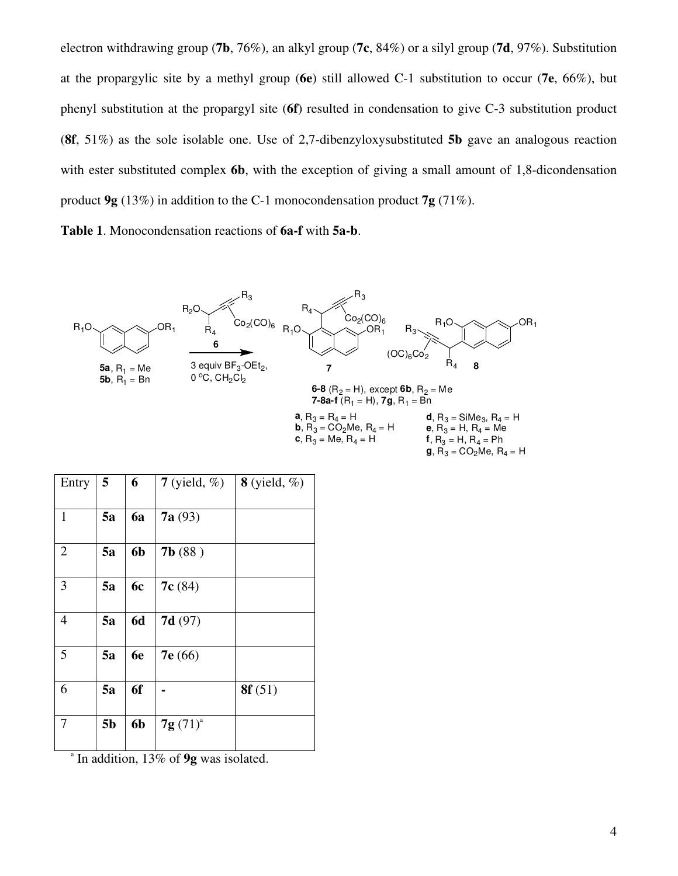electron withdrawing group (**7b**, 76%), an alkyl group (**7c**, 84%) or a silyl group (**7d**, 97%). Substitution at the propargylic site by a methyl group (**6e**) still allowed C-1 substitution to occur (**7e**, 66%), but phenyl substitution at the propargyl site (**6f**) resulted in condensation to give C-3 substitution product (**8f**, 51%) as the sole isolable one. Use of 2,7-dibenzyloxysubstituted **5b** gave an analogous reaction with ester substituted complex **6b**, with the exception of giving a small amount of 1,8-dicondensation product **9g** (13%) in addition to the C-1 monocondensation product **7g** (71%).

**Table 1**. Monocondensation reactions of **6a-f** with **5a-b**.



**g**,  $R_3 = CO_2Me$ ,  $R_4 = H$ 

| Entry          | 5  | 6         | $7$ (yield, %) | $8$ (yield, %) |
|----------------|----|-----------|----------------|----------------|
| $\mathbf{1}$   | 5a | 6a        | 7a(93)         |                |
| $\overline{2}$ | 5a | 6b        | 7b(88)         |                |
| 3              | 5a | 6c        | 7c(84)         |                |
| 4              | 5a | <b>6d</b> | 7d(97)         |                |
| $\overline{5}$ | 5a | 6e        | 7e(66)         |                |
| $\overline{6}$ | 5a | 6f        |                | 8f(51)         |

a In addition, 13% of **9g** was isolated.

7 **5b 6b 7g**  $(71)^{a}$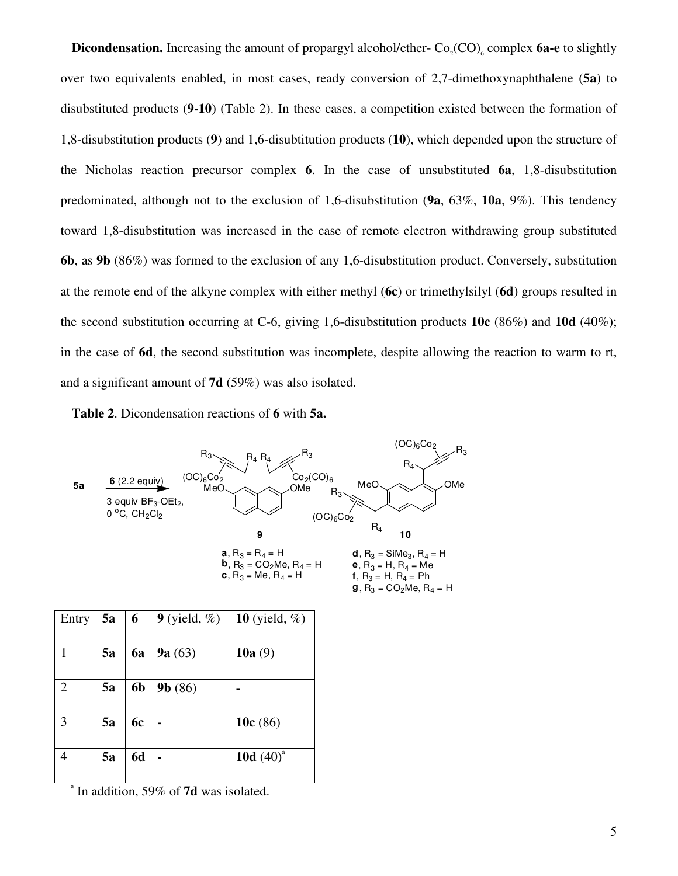**Dicondensation.** Increasing the amount of propargyl alcohol/ether- $Co_2(CO)$ <sub>6</sub> complex 6a-e to slightly over two equivalents enabled, in most cases, ready conversion of 2,7-dimethoxynaphthalene (**5a**) to disubstituted products (**9-10**) (Table 2). In these cases, a competition existed between the formation of 1,8-disubstitution products (**9**) and 1,6-disubtitution products (**10**), which depended upon the structure of the Nicholas reaction precursor complex **6**. In the case of unsubstituted **6a**, 1,8-disubstitution predominated, although not to the exclusion of 1,6-disubstitution (**9a**, 63%, **10a**, 9%). This tendency toward 1,8-disubstitution was increased in the case of remote electron withdrawing group substituted **6b**, as **9b** (86%) was formed to the exclusion of any 1,6-disubstitution product. Conversely, substitution at the remote end of the alkyne complex with either methyl (**6c**) or trimethylsilyl (**6d**) groups resulted in the second substitution occurring at C-6, giving 1,6-disubstitution products **10c** (86%) and **10d** (40%); in the case of **6d**, the second substitution was incomplete, despite allowing the reaction to warm to rt, and a significant amount of **7d** (59%) was also isolated.

**Table 2**. Dicondensation reactions of **6** with **5a.**



| Entry | 5a | 6              | $9$ (yield, %) | 10 (yield, $%$ ) |
|-------|----|----------------|----------------|------------------|
|       |    |                |                |                  |
|       | 5a | 6a             | 9a(63)         | 10 $a(9)$        |
|       |    |                |                |                  |
| 2     | 5a | 6 <sub>b</sub> | 9b(86)         |                  |
|       |    |                |                |                  |
| 3     | 5a | 6c             |                | 10 $c(86)$       |
|       |    |                |                |                  |
|       | 5a | <b>6d</b>      |                | 10d $(40)^{a}$   |
|       |    |                |                |                  |

a In addition, 59% of **7d** was isolated.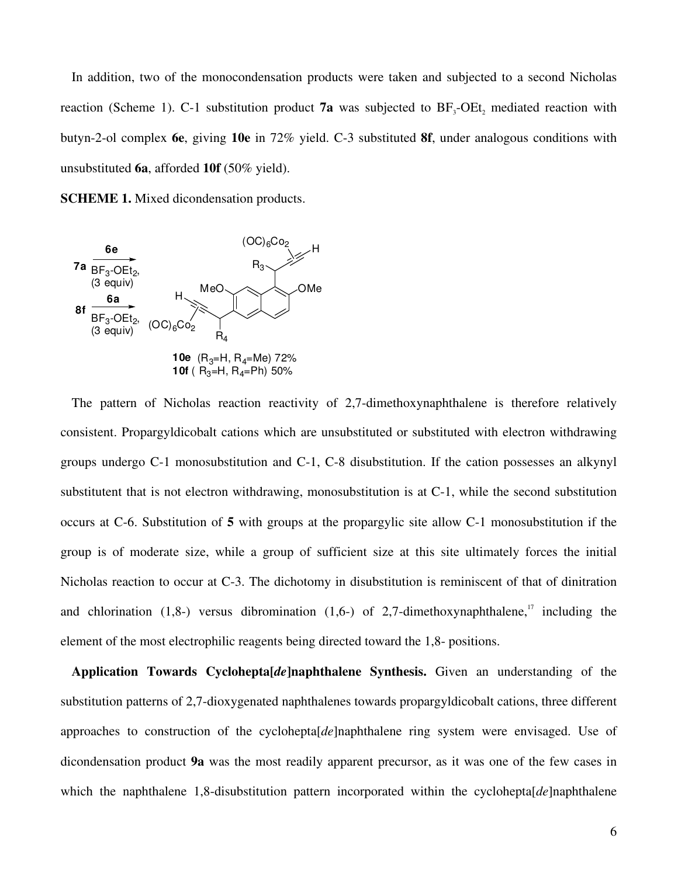In addition, two of the monocondensation products were taken and subjected to a second Nicholas reaction (Scheme 1). C-1 substitution product **7a** was subjected to  $BF_3$ -OEt<sub>2</sub> mediated reaction with butyn-2-ol complex **6e**, giving **10e** in 72% yield. C-3 substituted **8f**, under analogous conditions with unsubstituted **6a**, afforded **10f** (50% yield).

**SCHEME 1.** Mixed dicondensation products.



The pattern of Nicholas reaction reactivity of 2,7-dimethoxynaphthalene is therefore relatively consistent. Propargyldicobalt cations which are unsubstituted or substituted with electron withdrawing groups undergo C-1 monosubstitution and C-1, C-8 disubstitution. If the cation possesses an alkynyl substitutent that is not electron withdrawing, monosubstitution is at C-1, while the second substitution occurs at C-6. Substitution of **5** with groups at the propargylic site allow C-1 monosubstitution if the group is of moderate size, while a group of sufficient size at this site ultimately forces the initial Nicholas reaction to occur at C-3. The dichotomy in disubstitution is reminiscent of that of dinitration and chlorination (1,8-) versus dibromination (1,6-) of 2,7-dimethoxynaphthalene,<sup>17</sup> including the element of the most electrophilic reagents being directed toward the 1,8- positions.

**Application Towards Cyclohepta[***de***]naphthalene Synthesis.** Given an understanding of the substitution patterns of 2,7-dioxygenated naphthalenes towards propargyldicobalt cations, three different approaches to construction of the cyclohepta[*de*]naphthalene ring system were envisaged. Use of dicondensation product **9a** was the most readily apparent precursor, as it was one of the few cases in which the naphthalene 1,8-disubstitution pattern incorporated within the cyclohepta[*de*]naphthalene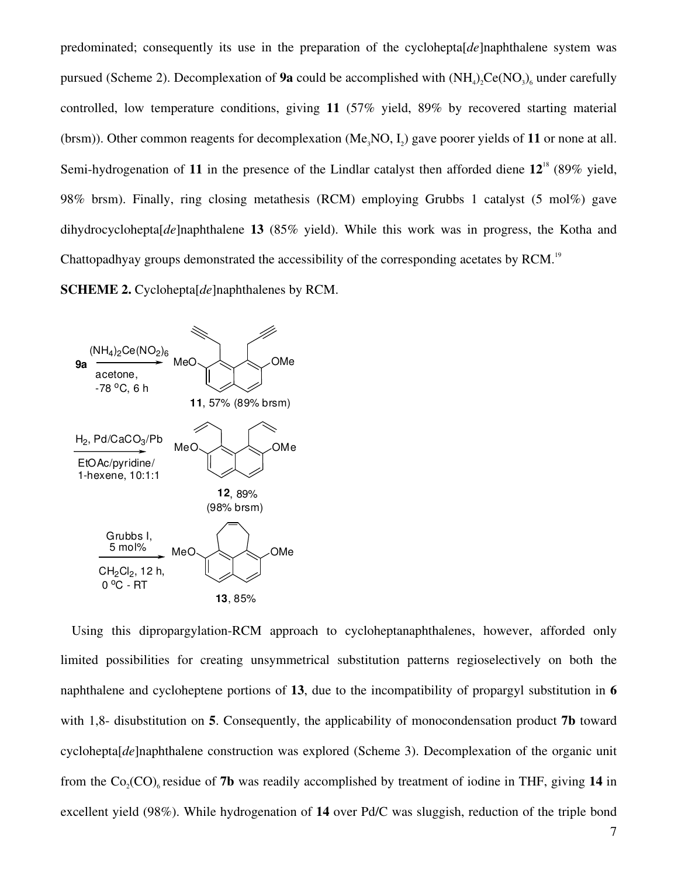predominated; consequently its use in the preparation of the cyclohepta[*de*]naphthalene system was pursued (Scheme 2). Decomplexation of **9a** could be accomplished with  $(NH_4)_2$ Ce $(NO_3)_6$  under carefully controlled, low temperature conditions, giving **11** (57% yield, 89% by recovered starting material (brsm)). Other common reagents for decomplexation  $(Me<sub>3</sub>NO, I<sub>2</sub>)$  gave poorer yields of 11 or none at all. Semi-hydrogenation of **11** in the presence of the Lindlar catalyst then afforded diene **12**<sup>18</sup> (89% yield, 98% brsm). Finally, ring closing metathesis (RCM) employing Grubbs 1 catalyst (5 mol%) gave dihydrocyclohepta[*de*]naphthalene **13** (85% yield). While this work was in progress, the Kotha and Chattopadhyay groups demonstrated the accessibility of the corresponding acetates by RCM.<sup>19</sup>

**SCHEME 2.** Cyclohepta[*de*]naphthalenes by RCM.



Using this dipropargylation-RCM approach to cycloheptanaphthalenes, however, afforded only limited possibilities for creating unsymmetrical substitution patterns regioselectively on both the naphthalene and cycloheptene portions of **13**, due to the incompatibility of propargyl substitution in **6** with 1,8- disubstitution on **5**. Consequently, the applicability of monocondensation product **7b** toward cyclohepta[*de*]naphthalene construction was explored (Scheme 3). Decomplexation of the organic unit from the  $Co_2(CO)$ <sub>6</sub> residue of **7b** was readily accomplished by treatment of iodine in THF, giving 14 in excellent yield (98%). While hydrogenation of **14** over Pd/C was sluggish, reduction of the triple bond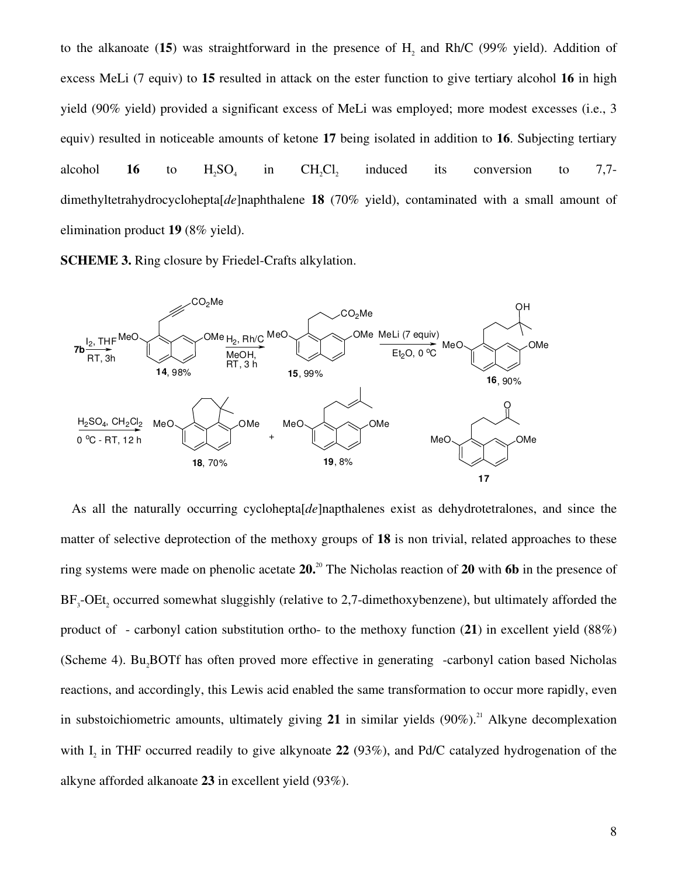to the alkanoate (15) was straightforward in the presence of  $H_2$  and Rh/C (99% yield). Addition of excess MeLi (7 equiv) to **15** resulted in attack on the ester function to give tertiary alcohol **16** in high yield (90% yield) provided a significant excess of MeLi was employed; more modest excesses (i.e., 3 equiv) resulted in noticeable amounts of ketone **17** being isolated in addition to **16**. Subjecting tertiary alcohol **16** to  $H_2SO_4$ in  $CH<sub>2</sub>Cl<sub>2</sub>$  induced its conversion to 7,7 dimethyltetrahydrocyclohepta[*de*]naphthalene **18** (70% yield), contaminated with a small amount of elimination product **19** (8% yield).

**SCHEME 3.** Ring closure by Friedel-Crafts alkylation.



As all the naturally occurring cyclohepta[*de*]napthalenes exist as dehydrotetralones, and since the matter of selective deprotection of the methoxy groups of **18** is non trivial, related approaches to these ring systems were made on phenolic acetate **20.**<sup>20</sup> The Nicholas reaction of **20** with **6b** in the presence of  $BF_3$ -OEt<sub>2</sub> occurred somewhat sluggishly (relative to 2,7-dimethoxybenzene), but ultimately afforded the product of - carbonyl cation substitution ortho- to the methoxy function (**21**) in excellent yield (88%) (Scheme 4). Bu<sub>2</sub>BOTf has often proved more effective in generating -carbonyl cation based Nicholas reactions, and accordingly, this Lewis acid enabled the same transformation to occur more rapidly, even in substoichiometric amounts, ultimately giving  $21$  in similar yields  $(90\%)$ <sup>21</sup> Alkyne decomplexation with I<sub>2</sub> in THF occurred readily to give alkynoate 22 (93%), and Pd/C catalyzed hydrogenation of the alkyne afforded alkanoate **23** in excellent yield (93%).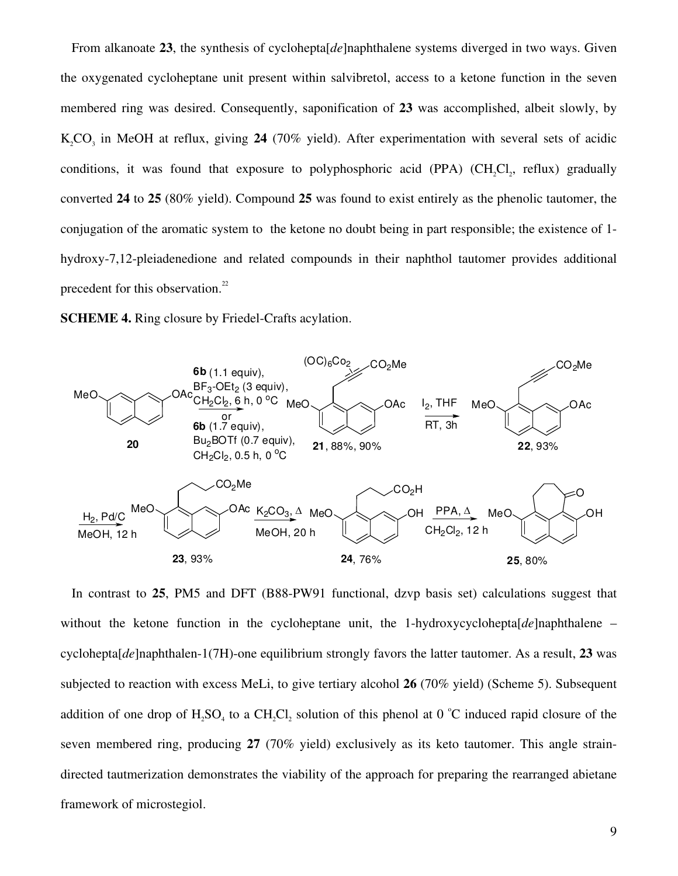From alkanoate **23**, the synthesis of cyclohepta[*de*]naphthalene systems diverged in two ways. Given the oxygenated cycloheptane unit present within salvibretol, access to a ketone function in the seven membered ring was desired. Consequently, saponification of **23** was accomplished, albeit slowly, by K<sub>2</sub>CO<sub>3</sub> in MeOH at reflux, giving 24 (70% yield). After experimentation with several sets of acidic conditions, it was found that exposure to polyphosphoric acid (PPA)  $(CH_2Cl_2$ , reflux) gradually converted **24** to **25** (80% yield). Compound **25** was found to exist entirely as the phenolic tautomer, the conjugation of the aromatic system to the ketone no doubt being in part responsible; the existence of 1 hydroxy-7,12-pleiadenedione and related compounds in their naphthol tautomer provides additional precedent for this observation.<sup>22</sup>

**SCHEME 4.** Ring closure by Friedel-Crafts acylation.



In contrast to **25**, PM5 and DFT (B88-PW91 functional, dzvp basis set) calculations suggest that without the ketone function in the cycloheptane unit, the 1-hydroxycyclohepta[*de*]naphthalene – cyclohepta[*de*]naphthalen-1(7H)-one equilibrium strongly favors the latter tautomer. As a result, **23** was subjected to reaction with excess MeLi, to give tertiary alcohol **26** (70% yield) (Scheme 5). Subsequent addition of one drop of  $H_2SO_4$  to a CH<sub>2</sub>Cl<sub>2</sub> solution of this phenol at 0 °C induced rapid closure of the seven membered ring, producing **27** (70% yield) exclusively as its keto tautomer. This angle straindirected tautmerization demonstrates the viability of the approach for preparing the rearranged abietane framework of microstegiol.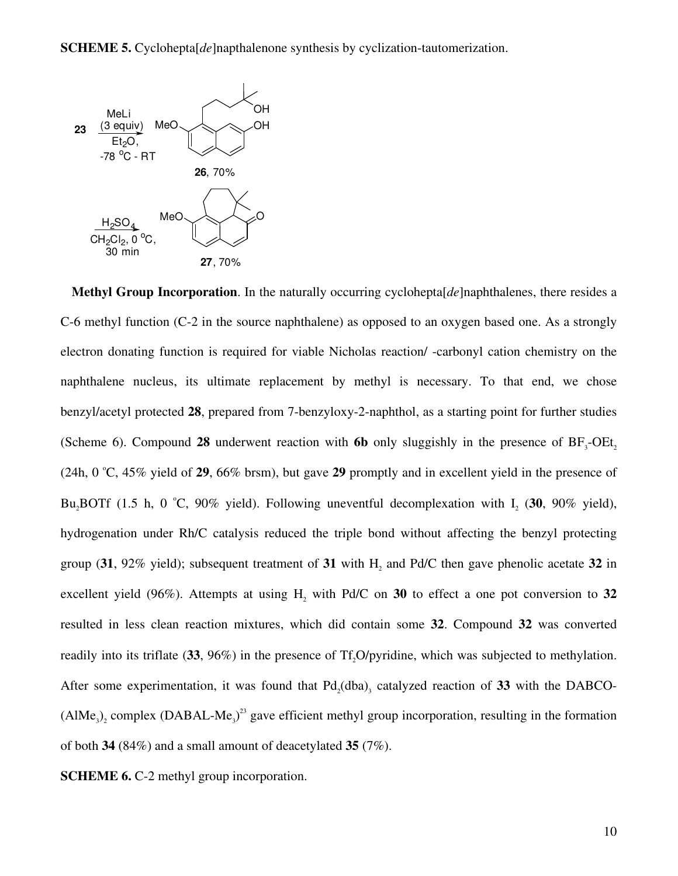**SCHEME 5.** Cyclohepta[*de*]napthalenone synthesis by cyclization-tautomerization.



**Methyl Group Incorporation**. In the naturally occurring cyclohepta[*de*]naphthalenes, there resides a C-6 methyl function (C-2 in the source naphthalene) as opposed to an oxygen based one. As a strongly electron donating function is required for viable Nicholas reaction/ -carbonyl cation chemistry on the naphthalene nucleus, its ultimate replacement by methyl is necessary. To that end, we chose benzyl/acetyl protected **28**, prepared from 7-benzyloxy-2-naphthol, as a starting point for further studies (Scheme 6). Compound 28 underwent reaction with  $6b$  only sluggishly in the presence of  $BF_3$ -OEt<sub>2</sub>  $(24h, 0 \degree C, 45\%$  yield of 29, 66% brsm), but gave 29 promptly and in excellent yield in the presence of Bu<sub>2</sub>BOTf (1.5 h, 0 °C, 90% yield). Following uneventful decomplexation with  $I_2$  (30, 90% yield), hydrogenation under Rh/C catalysis reduced the triple bond without affecting the benzyl protecting group (31, 92% yield); subsequent treatment of 31 with  $H_2$  and Pd/C then gave phenolic acetate 32 in excellent yield (96%). Attempts at using  $H_2$  with Pd/C on 30 to effect a one pot conversion to 32 resulted in less clean reaction mixtures, which did contain some **32**. Compound **32** was converted readily into its triflate (33, 96%) in the presence of Tf<sub>2</sub>O/pyridine, which was subjected to methylation. After some experimentation, it was found that  $Pd_2(dba)$ <sub>3</sub> catalyzed reaction of 33 with the DABCO- $(AIMe<sub>3</sub>)<sub>2</sub>$  complex  $(DABAL-Me<sub>3</sub>)<sup>23</sup>$  gave efficient methyl group incorporation, resulting in the formation of both **34** (84%) and a small amount of deacetylated **35** (7%).

**SCHEME 6.** C-2 methyl group incorporation.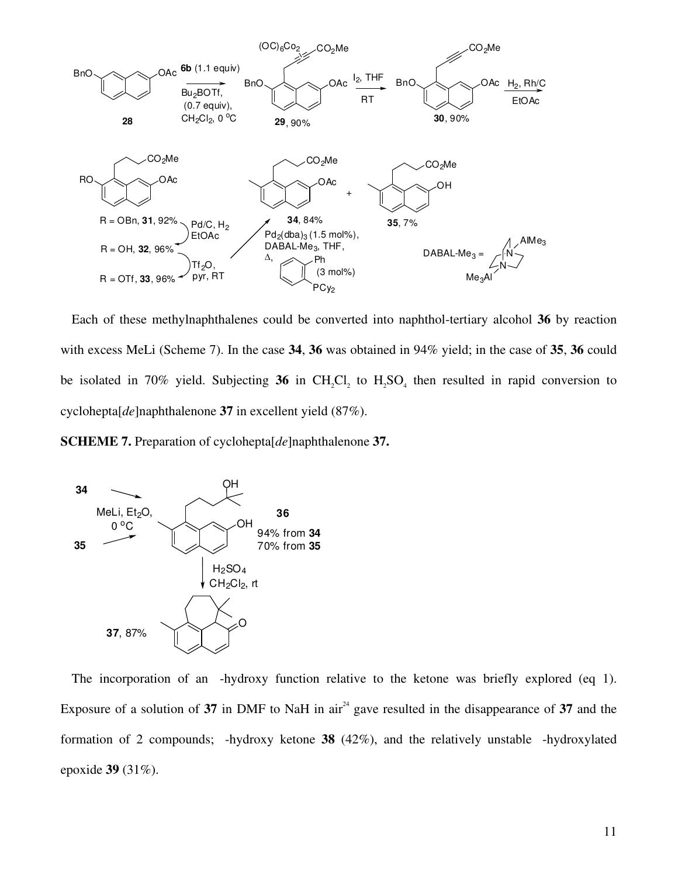

Each of these methylnaphthalenes could be converted into naphthol-tertiary alcohol **36** by reaction with excess MeLi (Scheme 7). In the case **34**, **36** was obtained in 94% yield; in the case of **35**, **36** could be isolated in 70% yield. Subjecting  $36$  in CH<sub>2</sub>Cl<sub>2</sub> to H<sub>2</sub>SO<sub>4</sub> then resulted in rapid conversion to cyclohepta[*de*]naphthalenone **37** in excellent yield (87%).

**SCHEME 7.** Preparation of cyclohepta[*de*]naphthalenone **37.** 



The incorporation of an -hydroxy function relative to the ketone was briefly explored (eq 1). Exposure of a solution of  $37$  in DMF to NaH in air<sup>24</sup> gave resulted in the disappearance of  $37$  and the formation of 2 compounds; -hydroxy ketone **38** (42%), and the relatively unstable -hydroxylated epoxide **39** (31%).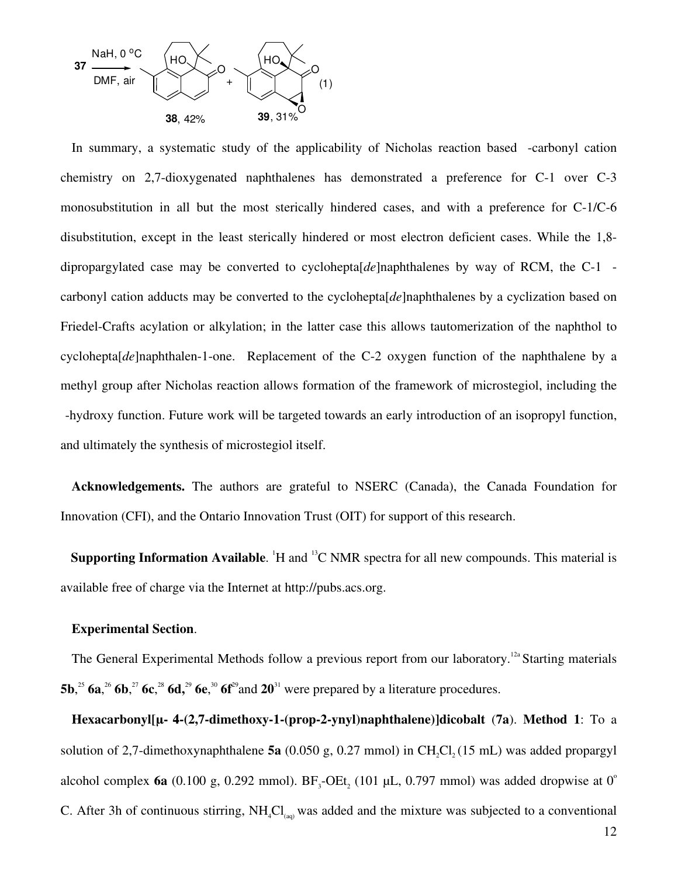

In summary, a systematic study of the applicability of Nicholas reaction based -carbonyl cation chemistry on 2,7-dioxygenated naphthalenes has demonstrated a preference for C-1 over C-3 monosubstitution in all but the most sterically hindered cases, and with a preference for C-1/C-6 disubstitution, except in the least sterically hindered or most electron deficient cases. While the 1,8 dipropargylated case may be converted to cyclohepta[*de*]naphthalenes by way of RCM, the C-1 carbonyl cation adducts may be converted to the cyclohepta[*de*]naphthalenes by a cyclization based on Friedel-Crafts acylation or alkylation; in the latter case this allows tautomerization of the naphthol to cyclohepta[*de*]naphthalen-1-one. Replacement of the C-2 oxygen function of the naphthalene by a methyl group after Nicholas reaction allows formation of the framework of microstegiol, including the -hydroxy function. Future work will be targeted towards an early introduction of an isopropyl function, and ultimately the synthesis of microstegiol itself.

**Acknowledgements.** The authors are grateful to NSERC (Canada), the Canada Foundation for Innovation (CFI), and the Ontario Innovation Trust (OIT) for support of this research.

**Supporting Information Available.** <sup>1</sup>H and <sup>13</sup>C NMR spectra for all new compounds. This material is available free of charge via the Internet at http://pubs.acs.org.

#### **Experimental Section**.

The General Experimental Methods follow a previous report from our laboratory.<sup>12a</sup> Starting materials **5b**,<sup>25</sup> **6a**, <sup>26</sup> **6b**,<sup>27</sup> **6c**,<sup>28</sup> **6d**,<sup>29</sup> **6e**,<sup>30</sup> **6f**<sup>29</sup>and **20**<sup>31</sup> were prepared by a literature procedures.

**Hexacarbonyl[µ-η 44-(2,7-dimethoxy-1-(prop-2-ynyl)naphthalene)]dicobalt** (**7a**). **Method 1**: To a solution of 2,7-dimethoxynaphthalene  $5a$  (0.050 g, 0.27 mmol) in CH<sub>2</sub>Cl<sub>2</sub> (15 mL) was added propargyl alcohol complex **6a** (0.100 g, 0.292 mmol).  $BF_3$ -OEt<sub>2</sub> (101 µL, 0.797 mmol) was added dropwise at 0<sup>o</sup> C. After 3h of continuous stirring,  $NH_4Cl_{(aa)}$  was added and the mixture was subjected to a conventional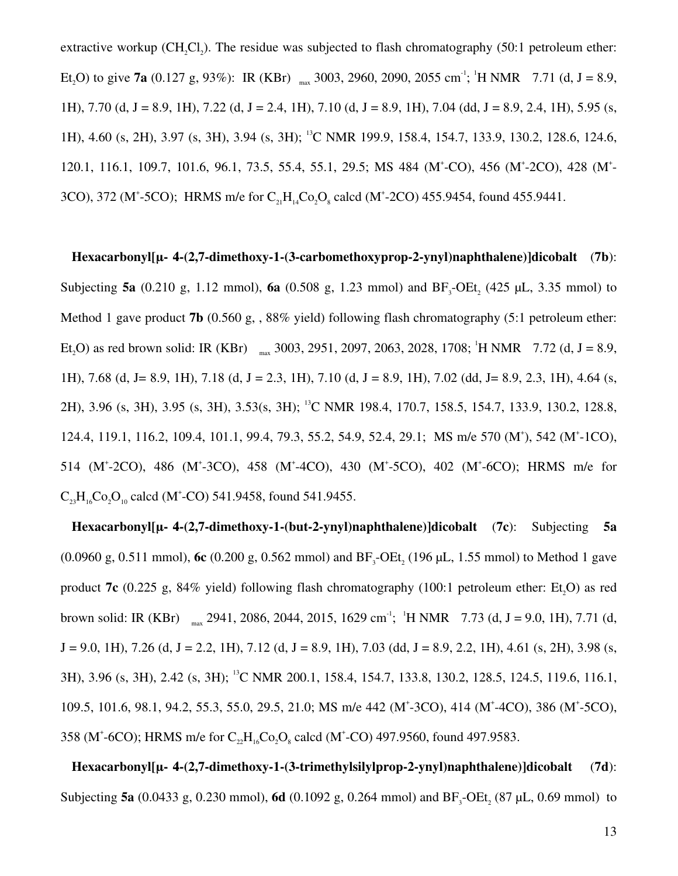extractive workup  $(CH_2Cl_2)$ . The residue was subjected to flash chromatography (50:1 petroleum ether: Et<sub>2</sub>O) to give **7a** (0.127 g, 93%): IR (KBr)  $_{max}$  3003, 2960, 2090, 2055 cm<sup>-1</sup>; <sup>1</sup>H NMR 7.71 (d, J = 8.9, 1H), 7.70 (d, J = 8.9, 1H), 7.22 (d, J = 2.4, 1H), 7.10 (d, J = 8.9, 1H), 7.04 (dd, J = 8.9, 2.4, 1H), 5.95 (s, 1H), 4.60 (s, 2H), 3.97 (s, 3H), 3.94 (s, 3H); <sup>13</sup>C NMR 199.9, 158.4, 154.7, 133.9, 130.2, 128.6, 124.6, 120.1, 116.1, 109.7, 101.6, 96.1, 73.5, 55.4, 55.1, 29.5; MS 484 (M<sup>+</sup>-CO), 456 (M<sup>+</sup>-2CO), 428 (M<sup>+</sup>-3CO), 372 (M<sup>+</sup>-5CO); HRMS m/e for  $C_{21}H_{14}Co_2O_8$  calcd (M<sup>+</sup>-2CO) 455.9454, found 455.9441.

**Hexacarbonyl[µ-η 44-(2,7-dimethoxy-1-(3-carbomethoxyprop-2-ynyl)naphthalene)]dicobalt** (**7b**): Subjecting **5a** (0.210 g, 1.12 mmol), **6a** (0.508 g, 1.23 mmol) and  $BF_3$ -OEt<sub>2</sub> (425 µL, 3.35 mmol) to Method 1 gave product **7b** (0.560 g, , 88% yield) following flash chromatography (5:1 petroleum ether: Et<sub>2</sub>O) as red brown solid: IR (KBr)  $_{max}$  3003, 2951, 2097, 2063, 2028, 1708; <sup>1</sup>H NMR 7.72 (d, J = 8.9, 1H), 7.68 (d, J = 8.9, 1H), 7.18 (d, J = 2.3, 1H), 7.10 (d, J = 8.9, 1H), 7.02 (dd, J = 8.9, 2.3, 1H), 4.64 (s, 2H), 3.96 (s, 3H), 3.95 (s, 3H), 3.53(s, 3H); <sup>13</sup>C NMR 198.4, 170.7, 158.5, 154.7, 133.9, 130.2, 128.8, 124.4, 119.1, 116.2, 109.4, 101.1, 99.4, 79.3, 55.2, 54.9, 52.4, 29.1; MS m/e 570 (M<sup>+</sup>), 542 (M<sup>+</sup>-1CO), 514 (M<sup>+</sup>-2CO), 486 (M<sup>+</sup>-3CO), 458 (M<sup>+</sup>-4CO), 430 (M<sup>+</sup>-5CO), 402 (M<sup>+</sup>-6CO); HRMS m/e for  $C_{23}H_{16}Co_2O_{10}$  calcd (M<sup>+</sup>-CO) 541.9458, found 541.9455.

**Hexacarbonyl[µ-η 44-(2,7-dimethoxy-1-(but-2-ynyl)naphthalene)]dicobalt** (**7c**): Subjecting **5a**  $(0.0960 \text{ g}, 0.511 \text{ mmol})$ , **6c**  $(0.200 \text{ g}, 0.562 \text{ mmol})$  and  $BF_3$ -OEt<sub>2</sub> (196 µL, 1.55 mmol) to Method 1 gave product **7c** (0.225 g, 84% yield) following flash chromatography (100:1 petroleum ether: Et<sub>0</sub>O) as red brown solid: IR (KBr)  $_{max}$  2941, 2086, 2044, 2015, 1629 cm<sup>-1</sup>; <sup>1</sup>H NMR 7.73 (d, J = 9.0, 1H), 7.71 (d,  $J = 9.0, 1H$ ), 7.26 (d,  $J = 2.2, 1H$ ), 7.12 (d,  $J = 8.9, 1H$ ), 7.03 (dd,  $J = 8.9, 2.2, 1H$ ), 4.61 (s, 2H), 3.98 (s, 3H), 3.96 (s, 3H), 2.42 (s, 3H); <sup>13</sup>C NMR 200.1, 158.4, 154.7, 133.8, 130.2, 128.5, 124.5, 119.6, 116.1, 109.5, 101.6, 98.1, 94.2, 55.3, 55.0, 29.5, 21.0; MS m/e 442 (M<sup>+</sup>-3CO), 414 (M<sup>+</sup>-4CO), 386 (M<sup>+</sup>-5CO), 358 (M<sup>+</sup>-6CO); HRMS m/e for  $C_{22}H_{16}Co_2O_8$  calcd (M<sup>+</sup>-CO) 497.9560, found 497.9583.

**Hexacarbonyl[µ-η 44-(2,7-dimethoxy-1-(3-trimethylsilylprop-2-ynyl)naphthalene)]dicobalt** (**7d**): Subjecting **5a** (0.0433 g, 0.230 mmol), **6d** (0.1092 g, 0.264 mmol) and  $BF_3$ -OEt<sub>2</sub> (87 µL, 0.69 mmol) to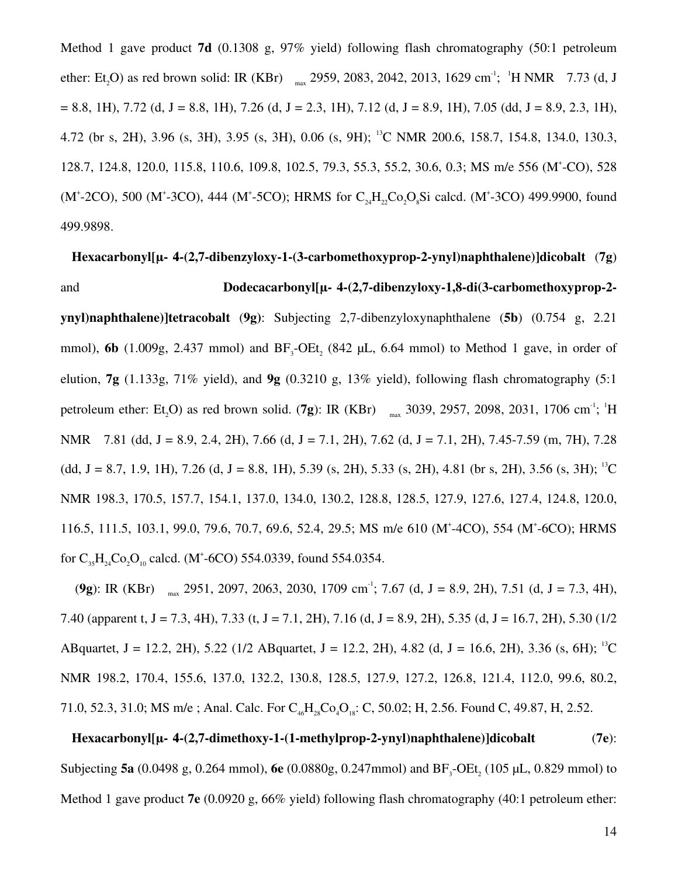Method 1 gave product **7d** (0.1308 g, 97% yield) following flash chromatography (50:1 petroleum ether: Et<sub>2</sub>O) as red brown solid: IR (KBr)  $_{max}$  2959, 2083, 2042, 2013, 1629 cm<sup>-1</sup>; <sup>1</sup>H NMR 7.73 (d, J  $= 8.8, 1H$ ),  $7.72$  (d,  $J = 8.8, 1H$ ),  $7.26$  (d,  $J = 2.3, 1H$ ),  $7.12$  (d,  $J = 8.9, 1H$ ),  $7.05$  (dd,  $J = 8.9, 2.3, 1H$ ), 4.72 (br s, 2H), 3.96 (s, 3H), 3.95 (s, 3H), 0.06 (s, 9H); <sup>13</sup>C NMR 200.6, 158.7, 154.8, 134.0, 130.3, 128.7, 124.8, 120.0, 115.8, 110.6, 109.8, 102.5, 79.3, 55.3, 55.2, 30.6, 0.3; MS m/e 556 (M<sup>+</sup> -CO), 528 (M<sup>+</sup>-2CO), 500 (M<sup>+</sup>-3CO), 444 (M<sup>+</sup>-5CO); HRMS for  $C_{24}H_{22}Co_2O_8Si$  calcd. (M<sup>+</sup>-3CO) 499.9900, found 499.9898.

## **Hexacarbonyl[µ-η 44-(2,7-dibenzyloxy-1-(3-carbomethoxyprop-2-ynyl)naphthalene)]dicobalt** (**7g**) and **Dodecacarbonyl[µ- 4-(2,7-dibenzyloxy-1,8-di(3-carbomethoxyprop-2-**

**ynyl)naphthalene)]tetracobalt** (**9g)**: Subjecting 2,7-dibenzyloxynaphthalene (**5b**) (0.754 g, 2.21 mmol), **6b** (1.009g, 2.437 mmol) and  $BF_3$ -OEt<sub>2</sub> (842 µL, 6.64 mmol) to Method 1 gave, in order of elution, **7g** (1.133g, 71% yield), and **9g** (0.3210 g, 13% yield), following flash chromatography (5:1 petroleum ether: Et<sub>2</sub>O) as red brown solid. (**7g**): IR (KBr)  $_{max}$  3039, 2957, 2098, 2031, 1706 cm<sup>-1</sup>; <sup>1</sup>H NMR 7.81 (dd, J = 8.9, 2.4, 2H), 7.66 (d, J = 7.1, 2H), 7.62 (d, J = 7.1, 2H), 7.45-7.59 (m, 7H), 7.28  $(dd, J = 8.7, 1.9, 1H), 7.26 (d, J = 8.8, 1H), 5.39 (s, 2H), 5.33 (s, 2H), 4.81 (br s, 2H), 3.56 (s, 3H); <sup>13</sup>C$ NMR 198.3, 170.5, 157.7, 154.1, 137.0, 134.0, 130.2, 128.8, 128.5, 127.9, 127.6, 127.4, 124.8, 120.0, 116.5, 111.5, 103.1, 99.0, 79.6, 70.7, 69.6, 52.4, 29.5; MS m/e 610 (M<sup>+</sup>-4CO), 554 (M<sup>+</sup>-6CO); HRMS for  $C_{35}H_{24}Co_2O_{10}$  calcd. (M<sup>+</sup>-6CO) 554.0339, found 554.0354.

(**9g**): IR (KBr)  $_{max}$  2951, 2097, 2063, 2030, 1709 cm<sup>-1</sup>; 7.67 (d, J = 8.9, 2H), 7.51 (d, J = 7.3, 4H), 7.40 (apparent t, J = 7.3, 4H), 7.33 (t, J = 7.1, 2H), 7.16 (d, J = 8.9, 2H), 5.35 (d, J = 16.7, 2H), 5.30 (1/2 ABquartet, J = 12.2, 2H), 5.22 (1/2 ABquartet, J = 12.2, 2H), 4.82 (d, J = 16.6, 2H), 3.36 (s, 6H); <sup>13</sup>C NMR 198.2, 170.4, 155.6, 137.0, 132.2, 130.8, 128.5, 127.9, 127.2, 126.8, 121.4, 112.0, 99.6, 80.2, 71.0, 52.3, 31.0; MS m/e; Anal. Calc. For  $C_{46}H_{28}Co_4O_{18}$ : C, 50.02; H, 2.56. Found C, 49.87, H, 2.52.

## **Hexacarbonyl[µ-η 44-(2,7-dimethoxy-1-(1-methylprop-2-ynyl)naphthalene)]dicobalt** (**7e**): Subjecting **5a** (0.0498 g, 0.264 mmol), **6e** (0.0880g, 0.247mmol) and  $BF_3$ -OEt<sub>2</sub> (105 µL, 0.829 mmol) to Method 1 gave product **7e** (0.0920 g, 66% yield) following flash chromatography (40:1 petroleum ether: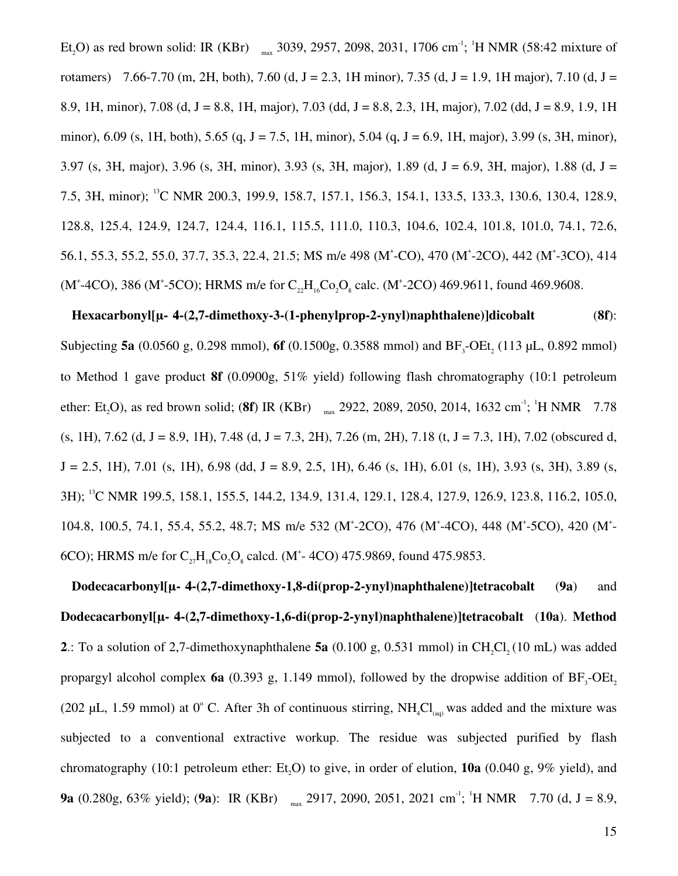Et<sub>2</sub>O) as red brown solid: IR (KBr)  $_{max}$  3039, 2957, 2098, 2031, 1706 cm<sup>-1</sup>; <sup>1</sup>H NMR (58:42 mixture of rotamers) 7.66-7.70 (m, 2H, both), 7.60 (d, J = 2.3, 1H minor), 7.35 (d, J = 1.9, 1H major), 7.10 (d, J = 8.9, 1H, minor), 7.08 (d, J = 8.8, 1H, major), 7.03 (dd, J = 8.8, 2.3, 1H, major), 7.02 (dd, J = 8.9, 1.9, 1H minor), 6.09 (s, 1H, both), 5.65 (q, J = 7.5, 1H, minor), 5.04 (q, J = 6.9, 1H, major), 3.99 (s, 3H, minor), 3.97 (s, 3H, major), 3.96 (s, 3H, minor), 3.93 (s, 3H, major), 1.89 (d, J = 6.9, 3H, major), 1.88 (d, J = 7.5, 3H, minor); <sup>13</sup>C NMR 200.3, 199.9, 158.7, 157.1, 156.3, 154.1, 133.5, 133.3, 130.6, 130.4, 128.9, 128.8, 125.4, 124.9, 124.7, 124.4, 116.1, 115.5, 111.0, 110.3, 104.6, 102.4, 101.8, 101.0, 74.1, 72.6, 56.1, 55.3, 55.2, 55.0, 37.7, 35.3, 22.4, 21.5; MS m/e 498 (M<sup>+</sup>-CO), 470 (M<sup>+</sup>-2CO), 442 (M<sup>+</sup>-3CO), 414 (M<sup>+</sup>-4CO), 386 (M<sup>+</sup>-5CO); HRMS m/e for  $C_{22}H_{16}Co_2O_8$  calc. (M<sup>+</sup>-2CO) 469.9611, found 469.9608.

#### **Hexacarbonyl[µ-η 44-(2,7-dimethoxy-3-(1-phenylprop-2-ynyl)naphthalene)]dicobalt** (**8f**):

Subjecting **5a** (0.0560 g, 0.298 mmol), **6f** (0.1500g, 0.3588 mmol) and  $BF_3$ -OEt<sub>2</sub> (113 µL, 0.892 mmol) to Method 1 gave product **8f** (0.0900g, 51% yield) following flash chromatography (10:1 petroleum ether: Et<sub>2</sub>O), as red brown solid; (8f) IR (KBr)  $_{max}$  2922, 2089, 2050, 2014, 1632 cm<sup>-1</sup>; <sup>1</sup>H NMR 7.78  $(s, 1H)$ , 7.62 (d, J = 8.9, 1H), 7.48 (d, J = 7.3, 2H), 7.26 (m, 2H), 7.18 (t, J = 7.3, 1H), 7.02 (obscured d,  $J = 2.5, 1H$ , 7.01 (s, 1H), 6.98 (dd,  $J = 8.9, 2.5, 1H$ ), 6.46 (s, 1H), 6.01 (s, 1H), 3.93 (s, 3H), 3.89 (s, 3H); <sup>13</sup>C NMR 199.5, 158.1, 155.5, 144.2, 134.9, 131.4, 129.1, 128.4, 127.9, 126.9, 123.8, 116.2, 105.0, 104.8, 100.5, 74.1, 55.4, 55.2, 48.7; MS m/e 532 (M<sup>+</sup>-2CO), 476 (M<sup>+</sup>-4CO), 448 (M<sup>+</sup>-5CO), 420 (M<sup>+</sup>-6CO); HRMS m/e for  $C_{27}H_{18}Co_2O_8$  calcd. (M<sup>+</sup>-4CO) 475.9869, found 475.9853.

**Dodecacarbonyl[µ-η 44-(2,7-dimethoxy-1,8-di(prop-2-ynyl)naphthalene)]tetracobalt** (**9a**) and **Dodecacarbonyl[µ-η 44-(2,7-dimethoxy-1,6-di(prop-2-ynyl)naphthalene)]tetracobalt** (**10a**). **Method 2.**: To a solution of 2,7-dimethoxynaphthalene **5a**  $(0.100 \text{ g}, 0.531 \text{ mmol})$  in CH<sub>2</sub>Cl<sub>2</sub> (10 mL) was added propargyl alcohol complex **6a** (0.393 g, 1.149 mmol), followed by the dropwise addition of  $BF_3$ -OEt<sub>2</sub> (202 µL, 1.59 mmol) at  $0^{\circ}$  C. After 3h of continuous stirring, NH<sub>4</sub>Cl<sub>(aq)</sub> was added and the mixture was subjected to a conventional extractive workup. The residue was subjected purified by flash chromatography (10:1 petroleum ether: Et<sub>0</sub>O) to give, in order of elution,  $10a$  (0.040 g, 9% yield), and **9a** (0.280g, 63% yield); (**9a**): IR (KBr)  $_{max}$  2917, 2090, 2051, 2021 cm<sup>-1</sup>; <sup>1</sup>H NMR 7.70 (d, J = 8.9,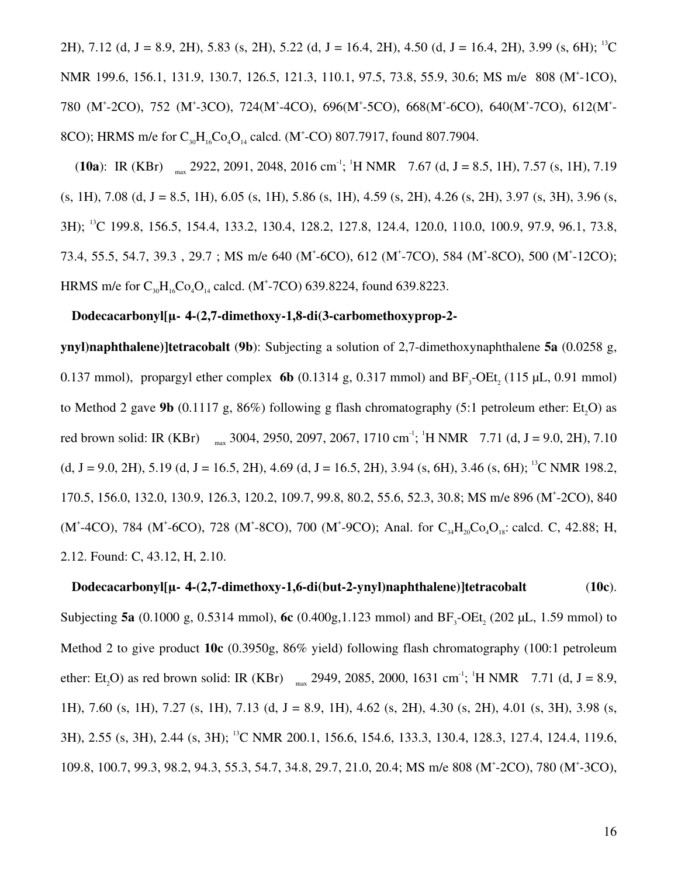2H), 7.12 (d, J = 8.9, 2H), 5.83 (s, 2H), 5.22 (d, J = 16.4, 2H), 4.50 (d, J = 16.4, 2H), 3.99 (s, 6H); <sup>13</sup>C NMR 199.6, 156.1, 131.9, 130.7, 126.5, 121.3, 110.1, 97.5, 73.8, 55.9, 30.6; MS m/e 808 (M<sup>+</sup>-1CO), 780 (M<sup>+</sup>-2CO), 752 (M<sup>+</sup>-3CO), 724(M<sup>+</sup>-4CO), 696(M<sup>+</sup>-5CO), 668(M<sup>+</sup>-6CO), 640(M<sup>+</sup>-7CO), 612(M<sup>+</sup>-8CO); HRMS m/e for  $C_{30}H_{16}Co_4O_{14}$  calcd. (M<sup>+</sup>-CO) 807.7917, found 807.7904.

(**10a**): IR (KBr)  $_{max}$  2922, 2091, 2048, 2016 cm<sup>-1</sup>; <sup>1</sup>H NMR 7.67 (d, J = 8.5, 1H), 7.57 (s, 1H), 7.19  $(s, 1H)$ , 7.08 (d, J = 8.5, 1H), 6.05 (s, 1H), 5.86 (s, 1H), 4.59 (s, 2H), 4.26 (s, 2H), 3.97 (s, 3H), 3.96 (s, 3H); <sup>13</sup>C 199.8, 156.5, 154.4, 133.2, 130.4, 128.2, 127.8, 124.4, 120.0, 110.0, 100.9, 97.9, 96.1, 73.8, 73.4, 55.5, 54.7, 39.3, 29.7; MS m/e 640 (M<sup>+</sup>-6CO), 612 (M<sup>+</sup>-7CO), 584 (M<sup>+</sup>-8CO), 500 (M<sup>+</sup>-12CO); HRMS m/e for  $C_{30}H_{16}Co_4O_{14}$  calcd. (M<sup>+</sup>-7CO) 639.8224, found 639.8223.

#### **Dodecacarbonyl[µ-η 44-(2,7-dimethoxy-1,8-di(3-carbomethoxyprop-2-**

**ynyl)naphthalene)]tetracobalt** (**9b**): Subjecting a solution of 2,7-dimethoxynaphthalene **5a** (0.0258 g, 0.137 mmol), propargyl ether complex **6b** (0.1314 g, 0.317 mmol) and  $BF_3$ -OEt<sub>2</sub> (115 µL, 0.91 mmol) to Method 2 gave **9b** (0.1117 g,  $86\%$ ) following g flash chromatography (5:1 petroleum ether: Et<sub>0</sub>O) as red brown solid: IR (KBr)  $_{max}$  3004, 2950, 2097, 2067, 1710 cm<sup>-1</sup>; <sup>1</sup>H NMR 7.71 (d, J = 9.0, 2H), 7.10 (d, J = 9.0, 2H), 5.19 (d, J = 16.5, 2H), 4.69 (d, J = 16.5, 2H), 3.94 (s, 6H), 3.46 (s, 6H); <sup>13</sup>C NMR 198.2, 170.5, 156.0, 132.0, 130.9, 126.3, 120.2, 109.7, 99.8, 80.2, 55.6, 52.3, 30.8; MS m/e 896 (M<sup>+</sup> -2CO), 840 (M<sup>+</sup>-4CO), 784 (M<sup>+</sup>-6CO), 728 (M<sup>+</sup>-8CO), 700 (M<sup>+</sup>-9CO); Anal. for C<sub>34</sub>H<sub>20</sub>Co<sub>4</sub>O<sub>18</sub>: calcd. C, 42.88; H, 2.12. Found: C, 43.12, H, 2.10.

**Dodecacarbonyl[µ-η 44-(2,7-dimethoxy-1,6-di(but-2-ynyl)naphthalene)]tetracobalt** (**10c**). Subjecting **5a** (0.1000 g, 0.5314 mmol),  $\text{6c}$  (0.400g, 1.123 mmol) and  $BF_3$ -OEt<sub>2</sub> (202 µL, 1.59 mmol) to Method 2 to give product **10c** (0.3950g, 86% yield) following flash chromatography (100:1 petroleum ether: Et<sub>2</sub>O) as red brown solid: IR (KBr)  $_{max}$  2949, 2085, 2000, 1631 cm<sup>-1</sup>; <sup>1</sup>H NMR 7.71 (d, J = 8.9, 1H), 7.60 (s, 1H), 7.27 (s, 1H), 7.13 (d, J = 8.9, 1H), 4.62 (s, 2H), 4.30 (s, 2H), 4.01 (s, 3H), 3.98 (s, 3H), 2.55 (s, 3H), 2.44 (s, 3H); <sup>13</sup>C NMR 200.1, 156.6, 154.6, 133.3, 130.4, 128.3, 127.4, 124.4, 119.6, 109.8, 100.7, 99.3, 98.2, 94.3, 55.3, 54.7, 34.8, 29.7, 21.0, 20.4; MS m/e 808 (M<sup>+</sup>-2CO), 780 (M<sup>+</sup>-3CO),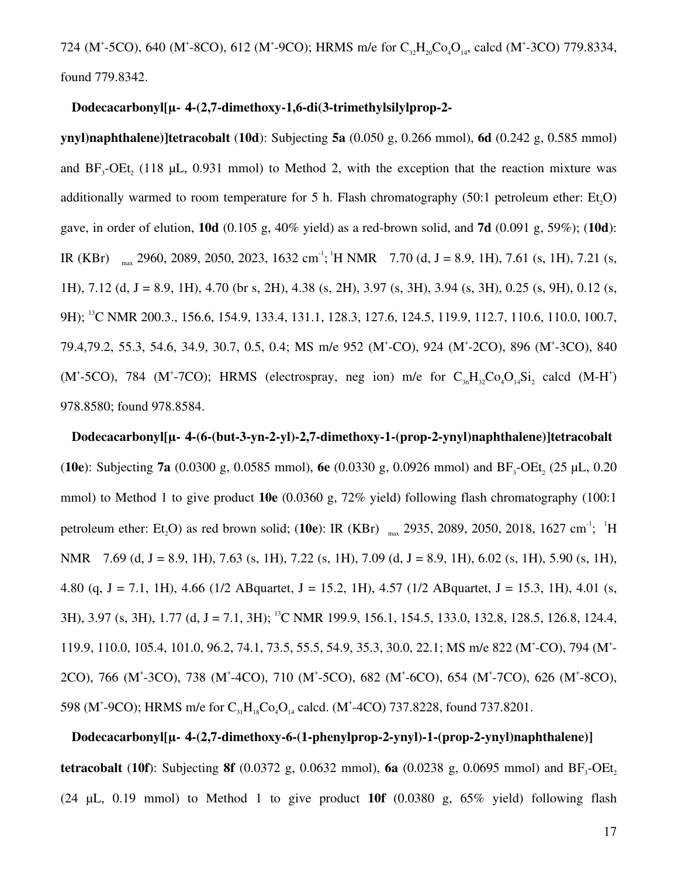724 (M<sup>+</sup>-5CO), 640 (M<sup>+</sup>-8CO), 612 (M<sup>+</sup>-9CO); HRMS m/e for  $C_{32}H_{20}Co_{4}O_{14}$ , calcd (M<sup>+</sup>-3CO) 779.8334, found 779.8342.

#### **Dodecacarbonyl[µ-η 44-(2,7-dimethoxy-1,6-di(3-trimethylsilylprop-2-**

**ynyl)naphthalene)]tetracobalt** (**10d**): Subjecting **5a** (0.050 g, 0.266 mmol), **6d** (0.242 g, 0.585 mmol) and  $BF_3$ -OEt<sub>2</sub> (118 µL, 0.931 mmol) to Method 2, with the exception that the reaction mixture was additionally warmed to room temperature for 5 h. Flash chromatography  $(50:1)$  petroleum ether: Et<sub>5</sub>O) gave, in order of elution, **10d** (0.105 g, 40% yield) as a red-brown solid, and **7d** (0.091 g, 59%); (**10d**): IR (KBr)  $_{max}$  2960, 2089, 2050, 2023, 1632 cm<sup>-1</sup>;<sup>1</sup>H NMR 7.70 (d, J = 8.9, 1H), 7.61 (s, 1H), 7.21 (s, 1H), 7.12 (d, J = 8.9, 1H), 4.70 (br s, 2H), 4.38 (s, 2H), 3.97 (s, 3H), 3.94 (s, 3H), 0.25 (s, 9H), 0.12 (s, 9H); <sup>13</sup>C NMR 200.3., 156.6, 154.9, 133.4, 131.1, 128.3, 127.6, 124.5, 119.9, 112.7, 110.6, 110.0, 100.7, 79.4,79.2, 55.3, 54.6, 34.9, 30.7, 0.5, 0.4; MS m/e 952 (M<sup>+</sup>-CO), 924 (M<sup>+</sup>-2CO), 896 (M<sup>+</sup>-3CO), 840 (M<sup>+</sup>-5CO), 784 (M<sup>+</sup>-7CO); HRMS (electrospray, neg ion) m/e for  $C_{36}H_{32}Co_4O_{14}Si_2$  calcd (M-H<sup>+</sup>) 978.8580; found 978.8584.

**Dodecacarbonyl[µ-η 44-(6-(but-3-yn-2-yl)-2,7-dimethoxy-1-(prop-2-ynyl)naphthalene)]tetracobalt (10e):** Subjecting **7a** (0.0300 g, 0.0585 mmol), **6e** (0.0330 g, 0.0926 mmol) and  $BF_3$ -OEt<sub>2</sub> (25 µL, 0.20 mmol) to Method 1 to give product **10e** (0.0360 g, 72% yield) following flash chromatography (100:1 petroleum ether: Et<sub>2</sub>O) as red brown solid; (10e): IR (KBr) <sub>max</sub> 2935, 2089, 2050, 2018, 1627 cm<sup>-1</sup>; <sup>1</sup>H NMR 7.69 (d, J = 8.9, 1H), 7.63 (s, 1H), 7.22 (s, 1H), 7.09 (d, J = 8.9, 1H), 6.02 (s, 1H), 5.90 (s, 1H), 4.80 (q, J = 7.1, 1H), 4.66 (1/2 ABquartet, J = 15.2, 1H), 4.57 (1/2 ABquartet, J = 15.3, 1H), 4.01 (s, 3H), 3.97 (s, 3H), 1.77 (d, J = 7.1, 3H); <sup>13</sup>C NMR 199.9, 156.1, 154.5, 133.0, 132.8, 128.5, 126.8, 124.4, 119.9, 110.0, 105.4, 101.0, 96.2, 74.1, 73.5, 55.5, 54.9, 35.3, 30.0, 22.1; MS m/e 822 (M<sup>+</sup>-CO), 794 (M<sup>+</sup>-2CO), 766 (M<sup>+</sup>-3CO), 738 (M<sup>+</sup>-4CO), 710 (M<sup>+</sup>-5CO), 682 (M<sup>+</sup>-6CO), 654 (M<sup>+</sup>-7CO), 626 (M<sup>+</sup>-8CO), 598 (M<sup>+</sup>-9CO); HRMS m/e for  $C_{31}H_{18}Co_4O_{14}$  calcd. (M<sup>+</sup>-4CO) 737.8228, found 737.8201.

## **Dodecacarbonyl[µ-η 44-(2,7-dimethoxy-6-(1-phenylprop-2-ynyl)-1-(prop-2-ynyl)naphthalene)]**

**tetracobalt** (10f): Subjecting **8f** (0.0372 g, 0.0632 mmol), **6a** (0.0238 g, 0.0695 mmol) and  $BF_3$ -OEt<sub>2</sub> (24 µL, 0.19 mmol) to Method 1 to give product **10f** (0.0380 g, 65% yield) following flash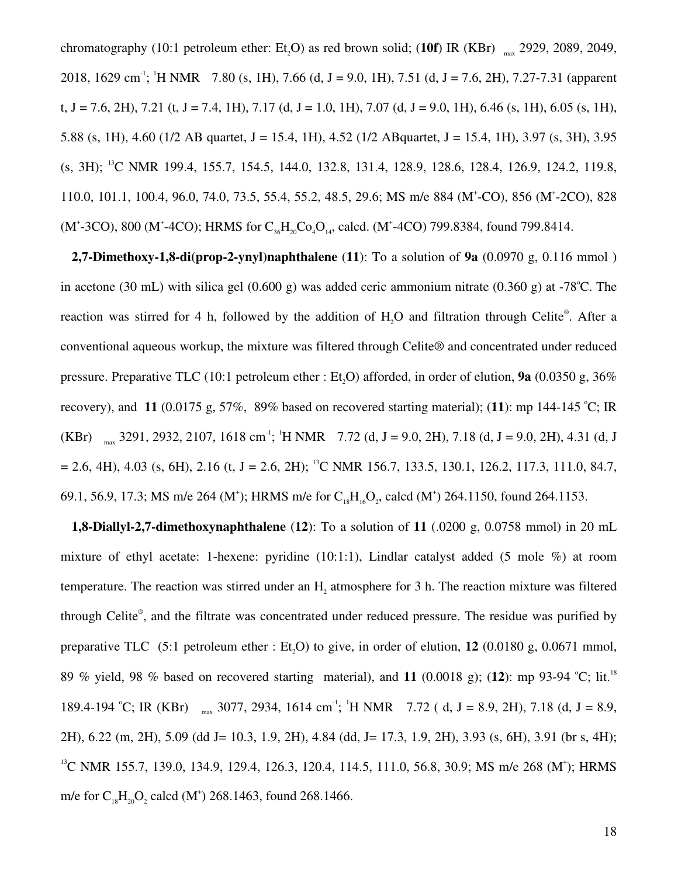chromatography (10:1 petroleum ether:  $Et_2O$ ) as red brown solid; (10f) IR (KBr)  $_{max}$  2929, 2089, 2049, 2018, 1629 cm<sup>-1</sup>; <sup>1</sup>H NMR 7.80 (s, 1H), 7.66 (d, J = 9.0, 1H), 7.51 (d, J = 7.6, 2H), 7.27-7.31 (apparent t, J = 7.6, 2H), 7.21 (t, J = 7.4, 1H), 7.17 (d, J = 1.0, 1H), 7.07 (d, J = 9.0, 1H), 6.46 (s, 1H), 6.05 (s, 1H), 5.88 (s, 1H), 4.60 (1/2 AB quartet, J = 15.4, 1H), 4.52 (1/2 AB quartet, J = 15.4, 1H), 3.97 (s, 3H), 3.95 (s, 3H); <sup>13</sup>C NMR 199.4, 155.7, 154.5, 144.0, 132.8, 131.4, 128.9, 128.6, 128.4, 126.9, 124.2, 119.8, 110.0, 101.1, 100.4, 96.0, 74.0, 73.5, 55.4, 55.2, 48.5, 29.6; MS m/e 884 (M<sup>+</sup>-CO), 856 (M<sup>+</sup>-2CO), 828 (M<sup>+</sup>-3CO), 800 (M<sup>+</sup>-4CO); HRMS for  $C_{36}H_{20}Co_{4}O_{14}$ , calcd. (M<sup>+</sup>-4CO) 799.8384, found 799.8414.

**2,7-Dimethoxy-1,8-di(prop-2-ynyl)naphthalene** (**11**): To a solution of **9a** (0.0970 g, 0.116 mmol ) in acetone (30 mL) with silica gel (0.600 g) was added ceric ammonium nitrate (0.360 g) at -78<sup>o</sup>C. The reaction was stirred for 4 h, followed by the addition of  $H_2O$  and filtration through Celite®. After a conventional aqueous workup, the mixture was filtered through Celite® and concentrated under reduced pressure. Preparative TLC (10:1 petroleum ether : Et<sub>5</sub>O) afforded, in order of elution, **9a** (0.0350 g,  $36\%$ recovery), and **11** (0.0175 g, 57%, 89% based on recovered starting material); (11): mp 144-145 °C; IR (KBr)  $_{max}$  3291, 2932, 2107, 1618 cm<sup>-1</sup>; <sup>1</sup>H NMR 7.72 (d, J = 9.0, 2H), 7.18 (d, J = 9.0, 2H), 4.31 (d, J  $= 2.6, 4H$ ), 4.03 (s, 6H), 2.16 (t, J = 2.6, 2H); <sup>13</sup>C NMR 156.7, 133.5, 130.1, 126.2, 117.3, 111.0, 84.7, 69.1, 56.9, 17.3; MS m/e 264 (M<sup>+</sup>); HRMS m/e for  $C_{18}H_{16}O_2$ , calcd (M<sup>+</sup>) 264.1150, found 264.1153.

**1,8-Diallyl-2,7-dimethoxynaphthalene** (**12**): To a solution of **11** (.0200 g, 0.0758 mmol) in 20 mL mixture of ethyl acetate: 1-hexene: pyridine (10:1:1), Lindlar catalyst added (5 mole %) at room temperature. The reaction was stirred under an  $H_2$  atmosphere for 3 h. The reaction mixture was filtered through Celite® , and the filtrate was concentrated under reduced pressure. The residue was purified by preparative TLC (5:1 petroleum ether : Et,O) to give, in order of elution, 12 (0.0180 g, 0.0671 mmol, 89 % yield, 98 % based on recovered starting material), and 11 (0.0018 g); (12): mp 93-94 °C; lit.<sup>18</sup> 189.4-194 °C; IR (KBr)  $_{max}$  3077, 2934, 1614 cm<sup>-1</sup>; <sup>1</sup>H NMR 7.72 (d, J = 8.9, 2H), 7.18 (d, J = 8.9, 2H), 6.22 (m, 2H), 5.09 (dd J= 10.3, 1.9, 2H), 4.84 (dd, J= 17.3, 1.9, 2H), 3.93 (s, 6H), 3.91 (br s, 4H); <sup>13</sup>C NMR 155.7, 139.0, 134.9, 129.4, 126.3, 120.4, 114.5, 111.0, 56.8, 30.9; MS m/e 268 (M<sup>+</sup>); HRMS m/e for  $C_{18}H_{20}O_2$  calcd (M<sup>+</sup>) 268.1463, found 268.1466.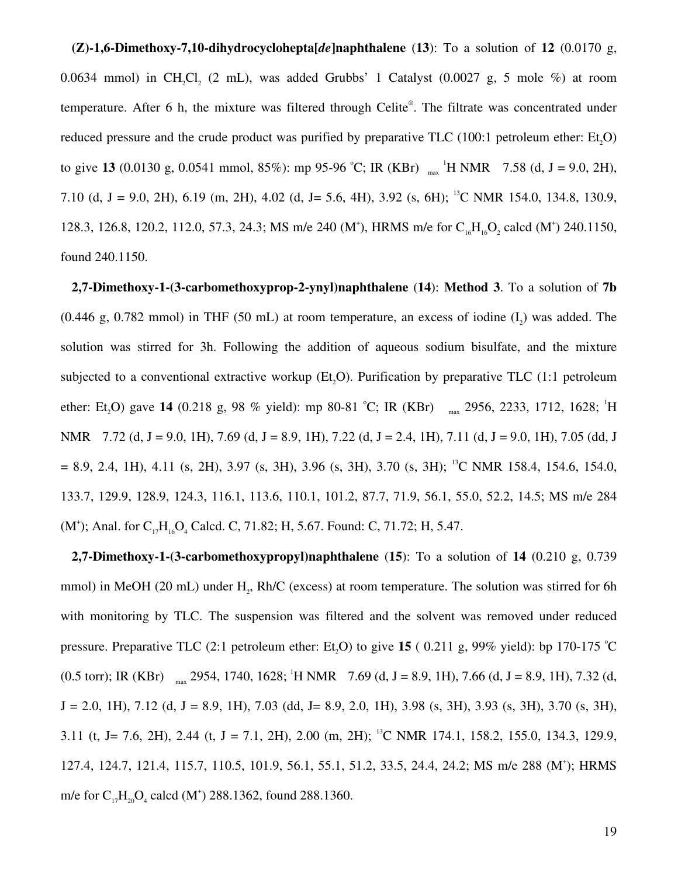**(Z)-1,6-Dimethoxy-7,10-dihydrocyclohepta[***de***]naphthalene** (**13**): To a solution of **12** (0.0170 g, 0.0634 mmol) in  $CH_2Cl_2$  (2 mL), was added Grubbs' 1 Catalyst (0.0027 g, 5 mole %) at room temperature. After 6 h, the mixture was filtered through Celite® . The filtrate was concentrated under reduced pressure and the crude product was purified by preparative TLC  $(100:1)$  petroleum ether: Et<sub>0</sub>O) to give **13** (0.0130 g, 0.0541 mmol, 85%): mp 95-96 °C; IR (KBr)  $_{max}$  <sup>1</sup>H NMR 7.58 (d, J = 9.0, 2H), 7.10 (d, J = 9.0, 2H), 6.19 (m, 2H), 4.02 (d, J = 5.6, 4H), 3.92 (s, 6H); <sup>13</sup>C NMR 154.0, 134.8, 130.9, 128.3, 126.8, 120.2, 112.0, 57.3, 24.3; MS m/e 240 (M<sup>+</sup>), HRMS m/e for C<sub>16</sub>H<sub>16</sub>O<sub>2</sub> calcd (M<sup>+</sup>) 240.1150, found 240.1150.

**2,7-Dimethoxy-1-(3-carbomethoxyprop-2-ynyl)naphthalene** (**14**): **Method 3**. To a solution of **7b**  $(0.446 \text{ g}, 0.782 \text{ mmol})$  in THF  $(50 \text{ mL})$  at room temperature, an excess of iodine  $(I_2)$  was added. The solution was stirred for 3h. Following the addition of aqueous sodium bisulfate, and the mixture subjected to a conventional extractive workup (Et,O). Purification by preparative TLC (1:1 petroleum ether: Et<sub>2</sub>O) gave 14 (0.218 g, 98 % yield): mp 80-81 °C; IR (KBr) <sub>max</sub> 2956, 2233, 1712, 1628; <sup>1</sup>H NMR 7.72 (d, J = 9.0, 1H), 7.69 (d, J = 8.9, 1H), 7.22 (d, J = 2.4, 1H), 7.11 (d, J = 9.0, 1H), 7.05 (dd, J  $= 8.9, 2.4, 1H$ , 4.11 (s, 2H), 3.97 (s, 3H), 3.96 (s, 3H), 3.70 (s, 3H); <sup>13</sup>C NMR 158.4, 154.6, 154.0, 133.7, 129.9, 128.9, 124.3, 116.1, 113.6, 110.1, 101.2, 87.7, 71.9, 56.1, 55.0, 52.2, 14.5; MS m/e 284 (M<sup>+</sup>); Anal. for  $C_{17}H_{16}O_4$  Calcd. C, 71.82; H, 5.67. Found: C, 71.72; H, 5.47.

**2,7-Dimethoxy-1-(3-carbomethoxypropyl)naphthalene** (**15**): To a solution of **14** (0.210 g, 0.739 mmol) in MeOH (20 mL) under  $H_2$ , Rh/C (excess) at room temperature. The solution was stirred for 6h with monitoring by TLC. The suspension was filtered and the solvent was removed under reduced pressure. Preparative TLC  $(2:1)$  petroleum ether: Et<sub>3</sub>O) to give 15  $(0.211)$  g, 99% yield): bp 170-175 °C  $(0.5 \text{ torr})$ ; IR (KBr)  $_{\text{max}}$  2954, 1740, 1628; <sup>1</sup>H NMR 7.69 (d, J = 8.9, 1H), 7.66 (d, J = 8.9, 1H), 7.32 (d,  $J = 2.0, 1H$ , 7.12 (d,  $J = 8.9, 1H$ ), 7.03 (dd,  $J = 8.9, 2.0, 1H$ ), 3.98 (s, 3H), 3.93 (s, 3H), 3.70 (s, 3H), 3.11 (t, J = 7.6, 2H), 2.44 (t, J = 7.1, 2H), 2.00 (m, 2H); <sup>13</sup>C NMR 174.1, 158.2, 155.0, 134.3, 129.9, 127.4, 124.7, 121.4, 115.7, 110.5, 101.9, 56.1, 55.1, 51.2, 33.5, 24.4, 24.2; MS m/e 288 (M<sup>+</sup>); HRMS m/e for  $C_{17}H_{20}O_4$  calcd (M<sup>+</sup>) 288.1362, found 288.1360.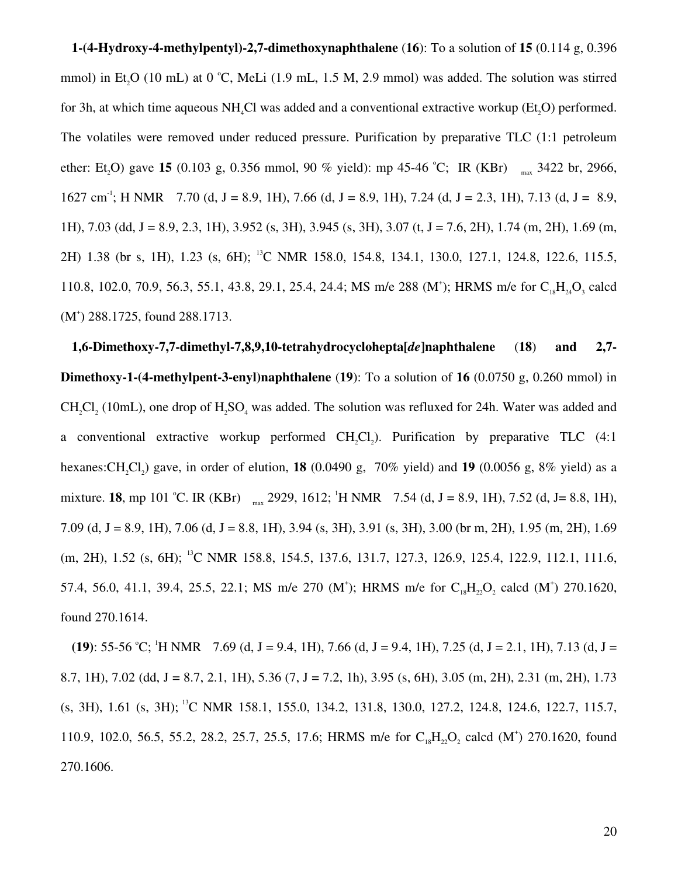**1-(4-Hydroxy-4-methylpentyl)-2,7-dimethoxynaphthalene** (**16**): To a solution of **15** (0.114 g, 0.396 mmol) in Et<sub>2</sub>O (10 mL) at 0 °C, MeLi (1.9 mL, 1.5 M, 2.9 mmol) was added. The solution was stirred for 3h, at which time aqueous NH<sub>1</sub>Cl was added and a conventional extractive workup  $(Et, O)$  performed. The volatiles were removed under reduced pressure. Purification by preparative TLC (1:1 petroleum ether: Et<sub>2</sub>O) gave **15** (0.103 g, 0.356 mmol, 90 % yield): mp 45-46 °C; IR (KBr)  $_{max}$  3422 br, 2966,  $1627 \text{ cm}^3$ ; H NMR 7.70 (d, J = 8.9, 1H), 7.66 (d, J = 8.9, 1H), 7.24 (d, J = 2.3, 1H), 7.13 (d, J = 8.9, 1H), 7.03 (dd, J = 8.9, 2.3, 1H), 3.952 (s, 3H), 3.945 (s, 3H), 3.07 (t, J = 7.6, 2H), 1.74 (m, 2H), 1.69 (m, 2H) 1.38 (br s, 1H), 1.23 (s, 6H); <sup>13</sup>C NMR 158.0, 154.8, 134.1, 130.0, 127.1, 124.8, 122.6, 115.5, 110.8, 102.0, 70.9, 56.3, 55.1, 43.8, 29.1, 25.4, 24.4; MS m/e 288 (M<sup>+</sup>); HRMS m/e for C<sub>18</sub>H<sub>24</sub>O<sub>3</sub> calcd (M<sup>+</sup>) 288.1725, found 288.1713.

**1,6-Dimethoxy-7,7-dimethyl-7,8,9,10-tetrahydrocyclohepta[***de***]naphthalene** (**18**) **and 2,7- Dimethoxy-1-(4-methylpent-3-enyl)naphthalene** (**19**): To a solution of **16** (0.0750 g, 0.260 mmol) in  $CH_2Cl_2$  (10mL), one drop of  $H_2SO_4$  was added. The solution was refluxed for 24h. Water was added and a conventional extractive workup performed  $CH_2Cl_2$ ). Purification by preparative TLC (4:1 hexanes:CH2Cl<sup>2</sup> ) gave, in order of elution, **18** (0.0490 g, 70% yield) and **19** (0.0056 g, 8% yield) as a mixture. **18**, mp 101 °C. IR (KBr)  $_{max}$  2929, 1612; <sup>1</sup>H NMR 7.54 (d, J = 8.9, 1H), 7.52 (d, J = 8.8, 1H), 7.09 (d, J = 8.9, 1H), 7.06 (d, J = 8.8, 1H), 3.94 (s, 3H), 3.91 (s, 3H), 3.00 (br m, 2H), 1.95 (m, 2H), 1.69 (m, 2H), 1.52 (s, 6H); <sup>13</sup>C NMR 158.8, 154.5, 137.6, 131.7, 127.3, 126.9, 125.4, 122.9, 112.1, 111.6, 57.4, 56.0, 41.1, 39.4, 25.5, 22.1; MS m/e 270 (M<sup>+</sup>); HRMS m/e for C<sub>18</sub>H<sub>22</sub>O<sub>2</sub> calcd (M<sup>+</sup>) 270.1620, found 270.1614.

**(19)**: 55-56 °C; <sup>1</sup>H NMR 7.69 (d, J = 9.4, 1H), 7.66 (d, J = 9.4, 1H), 7.25 (d, J = 2.1, 1H), 7.13 (d, J = 8.7, 1H), 7.02 (dd, J = 8.7, 2.1, 1H), 5.36 (7, J = 7.2, 1h), 3.95 (s, 6H), 3.05 (m, 2H), 2.31 (m, 2H), 1.73 (s, 3H), 1.61 (s, 3H);<sup>13</sup>C NMR 158.1, 155.0, 134.2, 131.8, 130.0, 127.2, 124.8, 124.6, 122.7, 115.7, 110.9, 102.0, 56.5, 55.2, 28.2, 25.7, 25.5, 17.6; HRMS m/e for  $C_{18}H_{22}O_2$  calcd (M<sup>+</sup>) 270.1620, found 270.1606.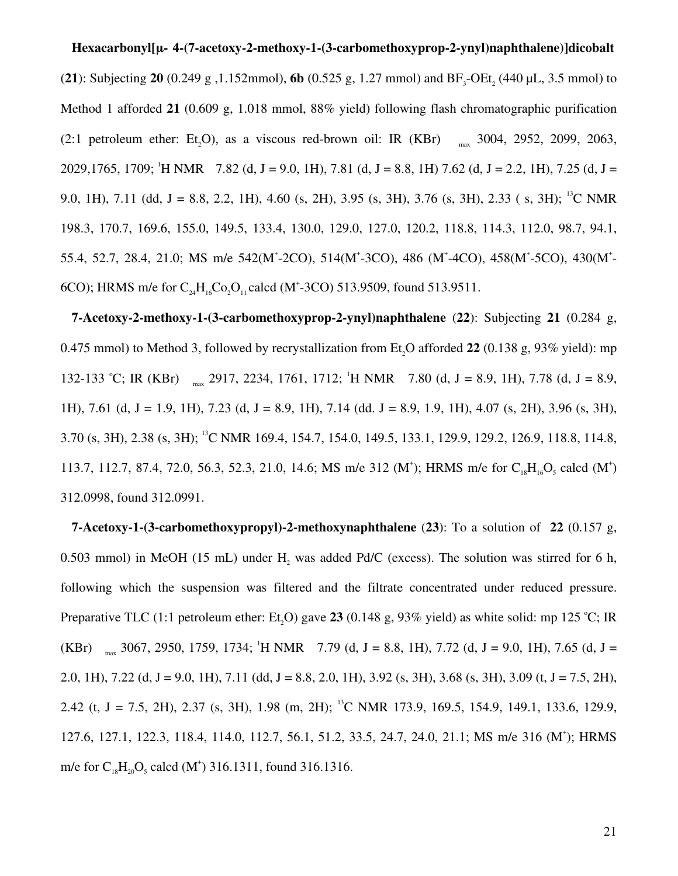#### **Hexacarbonyl[µ-η 44-(7-acetoxy-2-methoxy-1-(3-carbomethoxyprop-2-ynyl)naphthalene)]dicobalt**

(**21**): Subjecting **20** (0.249 g, 1.152mmol), **6b** (0.525 g, 1.27 mmol) and  $BF_3$ -OEt<sub>2</sub> (440 µL, 3.5 mmol) to Method 1 afforded **21** (0.609 g, 1.018 mmol, 88% yield) following flash chromatographic purification  $(2:1)$  petroleum ether: Et<sub>5</sub>O), as a viscous red-brown oil: IR (KBr) <sub>max</sub> 3004, 2952, 2099, 2063, 2029,1765, 1709; <sup>1</sup>H NMR 7.82 (d, J = 9.0, 1H), 7.81 (d, J = 8.8, 1H) 7.62 (d, J = 2.2, 1H), 7.25 (d, J = 9.0, 1H), 7.11 (dd, J = 8.8, 2.2, 1H), 4.60 (s, 2H), 3.95 (s, 3H), 3.76 (s, 3H), 2.33 (s, 3H); <sup>13</sup>C NMR 198.3, 170.7, 169.6, 155.0, 149.5, 133.4, 130.0, 129.0, 127.0, 120.2, 118.8, 114.3, 112.0, 98.7, 94.1, 55.4, 52.7, 28.4, 21.0; MS m/e 542(M<sup>+</sup>-2CO), 514(M<sup>+</sup>-3CO), 486 (M<sup>+</sup>-4CO), 458(M<sup>+</sup>-5CO), 430(M<sup>+</sup>-6CO); HRMS m/e for  $C_{24}H_{16}Co_2O_{11}$  calcd (M<sup>+</sup>-3CO) 513.9509, found 513.9511.

**7-Acetoxy-2-methoxy-1-(3-carbomethoxyprop-2-ynyl)naphthalene** (**22**): Subjecting **21** (0.284 g, 0.475 mmol) to Method 3, followed by recrystallization from Et2O afforded **22** (0.138 g, 93% yield): mp 132-133 °C; IR (KBr)  $_{max}$  2917, 2234, 1761, 1712; <sup>1</sup>H NMR 7.80 (d, J = 8.9, 1H), 7.78 (d, J = 8.9, 1H), 7.61 (d, J = 1.9, 1H), 7.23 (d, J = 8.9, 1H), 7.14 (dd, J = 8.9, 1.9, 1H), 4.07 (s, 2H), 3.96 (s, 3H), 3.70 (s, 3H), 2.38 (s, 3H); <sup>13</sup>C NMR 169.4, 154.7, 154.0, 149.5, 133.1, 129.9, 129.2, 126.9, 118.8, 114.8, 113.7, 112.7, 87.4, 72.0, 56.3, 52.3, 21.0, 14.6; MS m/e 312 (M<sup>+</sup>); HRMS m/e for C<sub>18</sub>H<sub>16</sub>O<sub>5</sub> calcd (M<sup>+</sup>) 312.0998, found 312.0991.

**7-Acetoxy-1-(3-carbomethoxypropyl)-2-methoxynaphthalene** (**23**): To a solution of **22** (0.157 g, 0.503 mmol) in MeOH (15 mL) under  $H_2$  was added Pd/C (excess). The solution was stirred for 6 h, following which the suspension was filtered and the filtrate concentrated under reduced pressure. Preparative TLC (1:1 petroleum ether: Et<sub>5</sub>O) gave 23 (0.148 g, 93% yield) as white solid: mp 125 °C; IR (KBr)  $_{max}$  3067, 2950, 1759, 1734; <sup>1</sup>H NMR 7.79 (d, J = 8.8, 1H), 7.72 (d, J = 9.0, 1H), 7.65 (d, J = 2.0, 1H), 7.22 (d, J = 9.0, 1H), 7.11 (dd, J = 8.8, 2.0, 1H), 3.92 (s, 3H), 3.68 (s, 3H), 3.09 (t, J = 7.5, 2H), 2.42 (t, J = 7.5, 2H), 2.37 (s, 3H), 1.98 (m, 2H); <sup>13</sup>C NMR 173.9, 169.5, 154.9, 149.1, 133.6, 129.9, 127.6, 127.1, 122.3, 118.4, 114.0, 112.7, 56.1, 51.2, 33.5, 24.7, 24.0, 21.1; MS m/e 316 (M<sup>+</sup>); HRMS m/e for  $C_{18}H_{20}O_5$  calcd (M<sup>+</sup>) 316.1311, found 316.1316.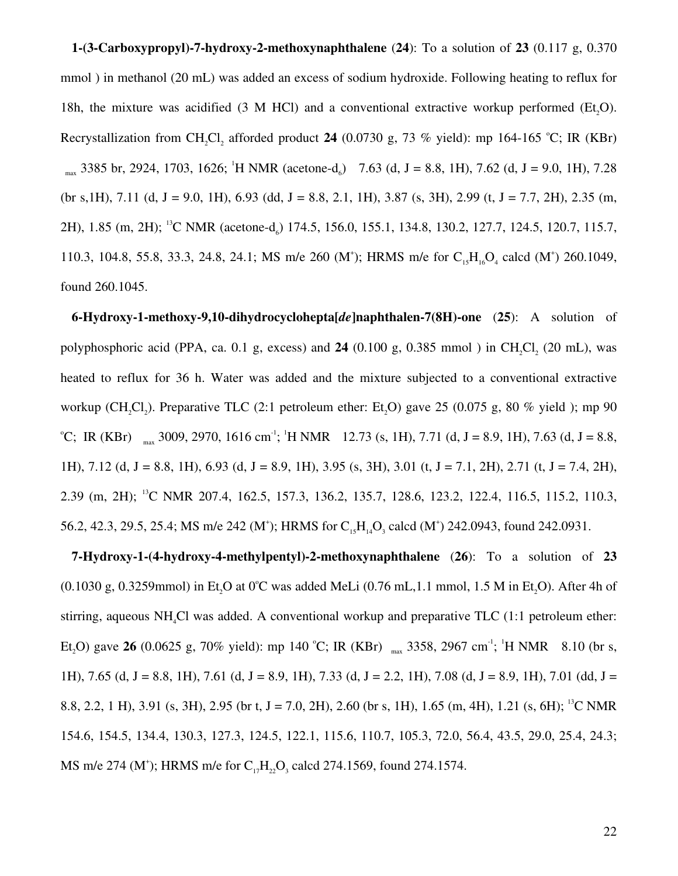**1-(3-Carboxypropyl)-7-hydroxy-2-methoxynaphthalene** (**24**): To a solution of **23** (0.117 g, 0.370 mmol ) in methanol (20 mL) was added an excess of sodium hydroxide. Following heating to reflux for 18h, the mixture was acidified  $(3 \text{ M HCl})$  and a conventional extractive workup performed  $(Et, O)$ . Recrystallization from CH<sub>2</sub>Cl<sub>2</sub> afforded product 24 (0.0730 g, 73 % yield): mp 164-165 °C; IR (KBr)  $_{max}$  3385 br, 2924, 1703, 1626; <sup>1</sup>H NMR (acetone-d<sub>6</sub>) 7.63 (d, J = 8.8, 1H), 7.62 (d, J = 9.0, 1H), 7.28 (br s, 1H), 7.11 (d, J = 9.0, 1H), 6.93 (dd, J = 8.8, 2.1, 1H), 3.87 (s, 3H), 2.99 (t, J = 7.7, 2H), 2.35 (m, 2H), 1.85 (m, 2H); <sup>13</sup>C NMR (acetone-d<sub>6</sub>) 174.5, 156.0, 155.1, 134.8, 130.2, 127.7, 124.5, 120.7, 115.7, 110.3, 104.8, 55.8, 33.3, 24.8, 24.1; MS m/e 260 (M<sup>+</sup>); HRMS m/e for C<sub>15</sub>H<sub>16</sub>O<sub>4</sub> calcd (M<sup>+</sup>) 260.1049, found 260.1045.

**6-Hydroxy-1-methoxy-9,10-dihydrocyclohepta[***de***]naphthalen-7(8H)-one** (**25**): A solution of polyphosphoric acid (PPA, ca. 0.1 g, excess) and **24** (0.100 g, 0.385 mmol ) in  $CH_2Cl_2$  (20 mL), was heated to reflux for 36 h. Water was added and the mixture subjected to a conventional extractive workup (CH<sub>2</sub>Cl<sub>2</sub>). Preparative TLC (2:1 petroleum ether: Et<sub>2</sub>O) gave 25 (0.075 g, 80 % yield ); mp 90 <sup>o</sup>C; IR (KBr)  $_{max}$  3009, 2970, 1616 cm<sup>-1</sup>; <sup>1</sup>H NMR 12.73 (s, 1H), 7.71 (d, J = 8.9, 1H), 7.63 (d, J = 8.8, 1H), 7.12 (d, J = 8.8, 1H), 6.93 (d, J = 8.9, 1H), 3.95 (s, 3H), 3.01 (t, J = 7.1, 2H), 2.71 (t, J = 7.4, 2H), 2.39 (m, 2H); <sup>13</sup>C NMR 207.4, 162.5, 157.3, 136.2, 135.7, 128.6, 123.2, 122.4, 116.5, 115.2, 110.3, 56.2, 42.3, 29.5, 25.4; MS m/e 242 (M<sup>+</sup>); HRMS for  $C_{15}H_{14}O_3$  calcd (M<sup>+</sup>) 242.0943, found 242.0931.

**7-Hydroxy-1-(4-hydroxy-4-methylpentyl)-2-methoxynaphthalene** (**26**): To a solution of **23**  $(0.1030 \text{ g}, 0.3259 \text{mmol})$  in Et.O at 0°C was added MeLi  $(0.76 \text{ mL}, 1.1 \text{ mmol}, 1.5 \text{ M}$  in Et.O). After 4h of stirring, aqueous NH<sub>4</sub>Cl was added. A conventional workup and preparative TLC (1:1 petroleum ether: Et<sub>2</sub>O) gave **26** (0.0625 g, 70% yield): mp 140 °C; IR (KBr)  $_{\text{max}}$  3358, 2967 cm<sup>-1</sup>; <sup>1</sup>H NMR 8.10 (br s, 1H), 7.65 (d, J = 8.8, 1H), 7.61 (d, J = 8.9, 1H), 7.33 (d, J = 2.2, 1H), 7.08 (d, J = 8.9, 1H), 7.01 (dd, J = 8.8, 2.2, 1 H), 3.91 (s, 3H), 2.95 (br t, J = 7.0, 2H), 2.60 (br s, 1H), 1.65 (m, 4H), 1.21 (s, 6H); <sup>13</sup>C NMR 154.6, 154.5, 134.4, 130.3, 127.3, 124.5, 122.1, 115.6, 110.7, 105.3, 72.0, 56.4, 43.5, 29.0, 25.4, 24.3; MS m/e 274 (M<sup>+</sup>); HRMS m/e for  $C_{17}H_{22}O_3$  calcd 274.1569, found 274.1574.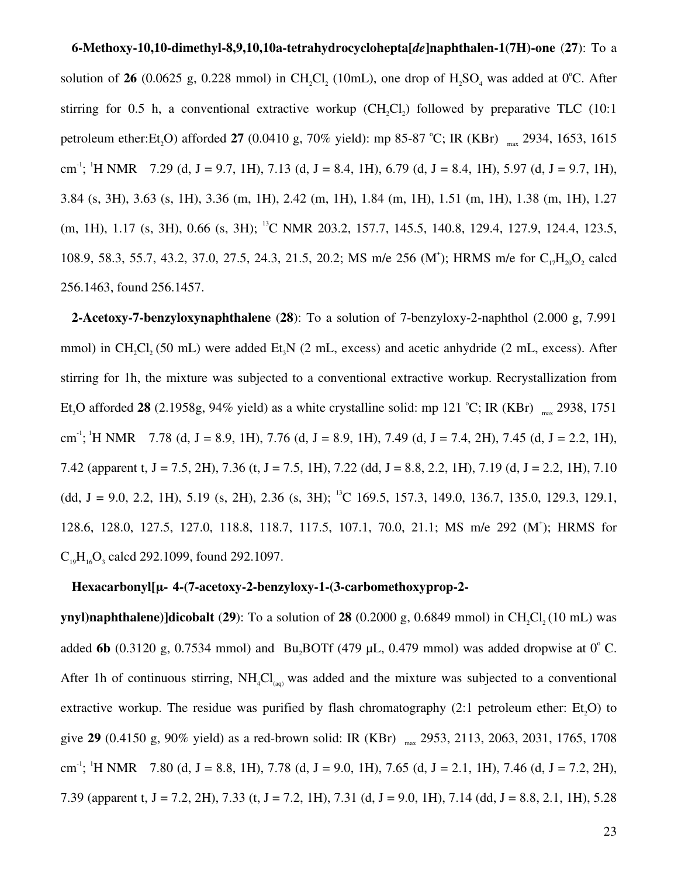**6-Methoxy-10,10-dimethyl-8,9,10,10a-tetrahydrocyclohepta[***de***]naphthalen-1(7H)-one** (**27**): To a solution of **26** (0.0625 g, 0.228 mmol) in CH<sub>2</sub>Cl<sub>2</sub> (10mL), one drop of H<sub>2</sub>SO<sub>4</sub> was added at 0°C. After stirring for 0.5 h, a conventional extractive workup  $(CH_2Cl_2)$  followed by preparative TLC (10:1) petroleum ether:Et<sub>2</sub>O) afforded 27 (0.0410 g, 70% yield): mp 85-87 °C; IR (KBr) <sub>max</sub> 2934, 1653, 1615 cm<sup>-1</sup>; <sup>1</sup>H NMR 7.29 (d, J = 9.7, 1H), 7.13 (d, J = 8.4, 1H), 6.79 (d, J = 8.4, 1H), 5.97 (d, J = 9.7, 1H), 3.84 (s, 3H), 3.63 (s, 1H), 3.36 (m, 1H), 2.42 (m, 1H), 1.84 (m, 1H), 1.51 (m, 1H), 1.38 (m, 1H), 1.27 (m, 1H), 1.17 (s, 3H), 0.66 (s, 3H); <sup>13</sup>C NMR 203.2, 157.7, 145.5, 140.8, 129.4, 127.9, 124.4, 123.5, 108.9, 58.3, 55.7, 43.2, 37.0, 27.5, 24.3, 21.5, 20.2; MS m/e 256 (M<sup>+</sup>); HRMS m/e for C<sub>17</sub>H<sub>20</sub>O<sub>2</sub> calcd 256.1463, found 256.1457.

**2-Acetoxy-7-benzyloxynaphthalene** (**28**): To a solution of 7-benzyloxy-2-naphthol (2.000 g, 7.991 mmol) in CH<sub>2</sub>Cl<sub>2</sub> (50 mL) were added Et<sub>2</sub>N (2 mL, excess) and acetic anhydride (2 mL, excess). After stirring for 1h, the mixture was subjected to a conventional extractive workup. Recrystallization from Et<sub>2</sub>O afforded 28 (2.1958g, 94% yield) as a white crystalline solid: mp 121 °C; IR (KBr)  $_{\text{max}}$  2938, 1751 cm<sup>-1</sup>; <sup>1</sup>H NMR 7.78 (d, J = 8.9, 1H), 7.76 (d, J = 8.9, 1H), 7.49 (d, J = 7.4, 2H), 7.45 (d, J = 2.2, 1H), 7.42 (apparent t, J = 7.5, 2H), 7.36 (t, J = 7.5, 1H), 7.22 (dd, J = 8.8, 2.2, 1H), 7.19 (d, J = 2.2, 1H), 7.10 (dd, J = 9.0, 2.2, 1H), 5.19 (s, 2H), 2.36 (s, 3H); <sup>13</sup>C 169.5, 157.3, 149.0, 136.7, 135.0, 129.3, 129.1, 128.6, 128.0, 127.5, 127.0, 118.8, 118.7, 117.5, 107.1, 70.0, 21.1; MS m/e 292 (M<sup>+</sup> ); HRMS for  $C_{19}H_{16}O_3$  calcd 292.1099, found 292.1097.

#### **Hexacarbonyl[µ-η 44-(7-acetoxy-2-benzyloxy-1-(3-carbomethoxyprop-2-**

**ynyl)naphthalene)]dicobalt** (29): To a solution of 28 (0.2000 g, 0.6849 mmol) in CH<sub>2</sub>Cl<sub>2</sub> (10 mL) was added 6b (0.3120 g, 0.7534 mmol) and Bu<sub>2</sub>BOTf (479 µL, 0.479 mmol) was added dropwise at  $0^{\circ}$  C. After 1h of continuous stirring,  $NH_4Cl_{(aa)}$  was added and the mixture was subjected to a conventional extractive workup. The residue was purified by flash chromatography  $(2:1)$  petroleum ether: Et<sub>,</sub>O) to give **29** (0.4150 g, 90% yield) as a red-brown solid: IR (KBr) max 2953, 2113, 2063, 2031, 1765, 1708 cm<sup>-1</sup>; <sup>1</sup>H NMR 7.80 (d, J = 8.8, 1H), 7.78 (d, J = 9.0, 1H), 7.65 (d, J = 2.1, 1H), 7.46 (d, J = 7.2, 2H), 7.39 (apparent t, J = 7.2, 2H), 7.33 (t, J = 7.2, 1H), 7.31 (d, J = 9.0, 1H), 7.14 (dd, J = 8.8, 2.1, 1H), 5.28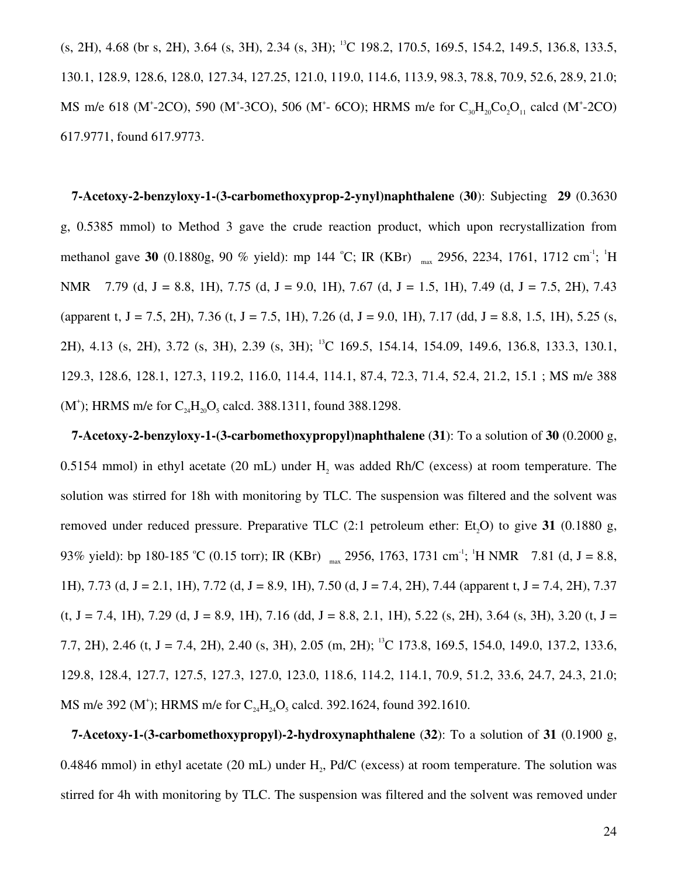(s, 2H), 4.68 (br s, 2H), 3.64 (s, 3H), 2.34 (s, 3H); <sup>13</sup>C 198.2, 170.5, 169.5, 154.2, 149.5, 136.8, 133.5, 130.1, 128.9, 128.6, 128.0, 127.34, 127.25, 121.0, 119.0, 114.6, 113.9, 98.3, 78.8, 70.9, 52.6, 28.9, 21.0; MS m/e 618 (M<sup>+</sup>-2CO), 590 (M<sup>+</sup>-3CO), 506 (M<sup>+</sup>- 6CO); HRMS m/e for  $C_{30}H_{20}Co_2O_{11}$  calcd (M<sup>+</sup>-2CO) 617.9771, found 617.9773.

**7-Acetoxy-2-benzyloxy-1-(3-carbomethoxyprop-2-ynyl)naphthalene** (**30**): Subjecting **29** (0.3630 g, 0.5385 mmol) to Method 3 gave the crude reaction product, which upon recrystallization from methanol gave 30 (0.1880g, 90 % yield): mp 144 °C; IR (KBr) <sub>max</sub> 2956, 2234, 1761, 1712 cm<sup>-1</sup>; <sup>1</sup>H NMR 7.79 (d, J = 8.8, 1H), 7.75 (d, J = 9.0, 1H), 7.67 (d, J = 1.5, 1H), 7.49 (d, J = 7.5, 2H), 7.43 (apparent t, J = 7.5, 2H), 7.36 (t, J = 7.5, 1H), 7.26 (d, J = 9.0, 1H), 7.17 (dd, J = 8.8, 1.5, 1H), 5.25 (s, 2H), 4.13 (s, 2H), 3.72 (s, 3H), 2.39 (s, 3H); <sup>13</sup>C 169.5, 154.14, 154.09, 149.6, 136.8, 133.3, 130.1, 129.3, 128.6, 128.1, 127.3, 119.2, 116.0, 114.4, 114.1, 87.4, 72.3, 71.4, 52.4, 21.2, 15.1 ; MS m/e 388 (M<sup>+</sup>); HRMS m/e for  $C_{24}H_{20}O_5$  calcd. 388.1311, found 388.1298.

**7-Acetoxy-2-benzyloxy-1-(3-carbomethoxypropyl)naphthalene** (**31**): To a solution of **30** (0.2000 g, 0.5154 mmol) in ethyl acetate (20 mL) under  $H_2$  was added Rh/C (excess) at room temperature. The solution was stirred for 18h with monitoring by TLC. The suspension was filtered and the solvent was removed under reduced pressure. Preparative TLC (2:1 petroleum ether: Et <sup>2</sup>O) to give **31** (0.1880 g, 93% yield): bp 180-185 °C (0.15 torr); IR (KBr)  $_{max}$  2956, 1763, 1731 cm<sup>-1</sup>; <sup>1</sup>H NMR 7.81 (d, J = 8.8, 1H), 7.73 (d, J = 2.1, 1H), 7.72 (d, J = 8.9, 1H), 7.50 (d, J = 7.4, 2H), 7.44 (apparent t, J = 7.4, 2H), 7.37  $(t, J = 7.4, 1H)$ , 7.29 (d,  $J = 8.9, 1H$ ), 7.16 (dd,  $J = 8.8, 2.1, 1H$ ), 5.22 (s, 2H), 3.64 (s, 3H), 3.20 (t,  $J =$ 7.7, 2H), 2.46 (t, J = 7.4, 2H), 2.40 (s, 3H), 2.05 (m, 2H); <sup>13</sup>C 173.8, 169.5, 154.0, 149.0, 137.2, 133.6, 129.8, 128.4, 127.7, 127.5, 127.3, 127.0, 123.0, 118.6, 114.2, 114.1, 70.9, 51.2, 33.6, 24.7, 24.3, 21.0; MS m/e 392 (M<sup>+</sup>); HRMS m/e for  $C_{24}H_{24}O_5$  calcd. 392.1624, found 392.1610.

**7-Acetoxy-1-(3-carbomethoxypropyl)-2-hydroxynaphthalene** (**32**): To a solution of **31** (0.1900 g, 0.4846 mmol) in ethyl acetate (20 mL) under  $H_2$ , Pd/C (excess) at room temperature. The solution was stirred for 4h with monitoring by TLC. The suspension was filtered and the solvent was removed under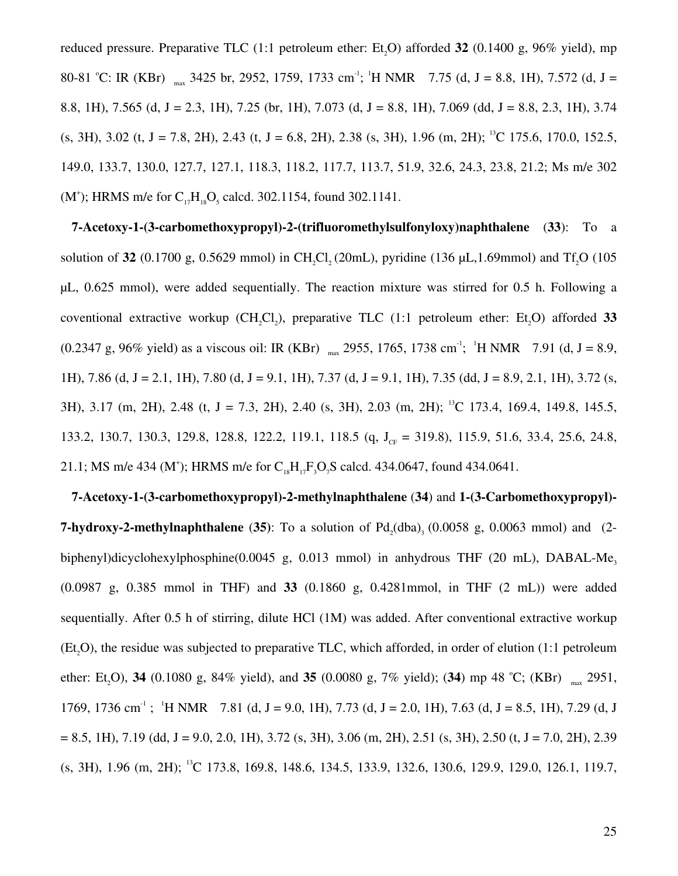reduced pressure. Preparative TLC (1:1 petroleum ether: Et<sub>5</sub>O) afforded 32 (0.1400 g, 96% yield), mp 80-81 °C: IR (KBr)  $_{\text{max}}$  3425 br, 2952, 1759, 1733 cm<sup>-1</sup>; <sup>1</sup>H NMR 7.75 (d, J = 8.8, 1H), 7.572 (d, J = 8.8, 1H), 7.565 (d, J = 2.3, 1H), 7.25 (br, 1H), 7.073 (d, J = 8.8, 1H), 7.069 (dd, J = 8.8, 2.3, 1H), 3.74  $(s, 3H)$ , 3.02 (t, J = 7.8, 2H), 2.43 (t, J = 6.8, 2H), 2.38 (s, 3H), 1.96 (m, 2H); <sup>13</sup>C 175.6, 170.0, 152.5, 149.0, 133.7, 130.0, 127.7, 127.1, 118.3, 118.2, 117.7, 113.7, 51.9, 32.6, 24.3, 23.8, 21.2; Ms m/e 302 (M<sup>+</sup>); HRMS m/e for  $C_{17}H_{18}O_5$  calcd. 302.1154, found 302.1141.

**7-Acetoxy-1-(3-carbomethoxypropyl)-2-(trifluoromethylsulfonyloxy)naphthalene** (**33**): To a solution of **32** (0.1700 g, 0.5629 mmol) in CH<sub>2</sub>Cl<sub>2</sub> (20mL), pyridine (136  $\mu$ L<sub>1</sub>,1.69mmol) and Tf<sub>2</sub>O (105 µL, 0.625 mmol), were added sequentially. The reaction mixture was stirred for 0.5 h. Following a coventional extractive workup  $(CH_2Cl_2)$ , preparative TLC  $(1:1$  petroleum ether: Et<sub>2</sub>O) afforded 33  $(0.2347 \text{ g}, 96\% \text{ yield})$  as a viscous oil: IR (KBr)  $_{\text{max}}$  2955, 1765, 1738 cm<sup>-1</sup>; <sup>1</sup>H NMR 7.91 (d, J = 8.9, 1H), 7.86 (d, J = 2.1, 1H), 7.80 (d, J = 9.1, 1H), 7.37 (d, J = 9.1, 1H), 7.35 (dd, J = 8.9, 2.1, 1H), 3.72 (s, 3H), 3.17 (m, 2H), 2.48 (t, J = 7.3, 2H), 2.40 (s, 3H), 2.03 (m, 2H); <sup>13</sup>C 173.4, 169.4, 149.8, 145.5, 133.2, 130.7, 130.3, 129.8, 128.8, 122.2, 119.1, 118.5 (q, J<sub>CF</sub> = 319.8), 115.9, 51.6, 33.4, 25.6, 24.8, 21.1; MS m/e 434 (M<sup>+</sup>); HRMS m/e for  $C_{18}H_{17}F_3O_7S$  calcd. 434.0647, found 434.0641.

**7-Acetoxy-1-(3-carbomethoxypropyl)-2-methylnaphthalene** (**34**) and **1-(3-Carbomethoxypropyl)- 7-hydroxy-2-methylnaphthalene** (35): To a solution of  $Pd_2(dba)$ <sub>3</sub> (0.0058 g, 0.0063 mmol) and (2biphenyl)dicyclohexylphosphine(0.0045 g, 0.013 mmol) in anhydrous THF (20 mL), DABAL-Me<sub>3</sub> (0.0987 g, 0.385 mmol in THF) and **33** (0.1860 g, 0.4281mmol, in THF (2 mL)) were added sequentially. After 0.5 h of stirring, dilute HCl (1M) was added. After conventional extractive workup  $(Et, O)$ , the residue was subjected to preparative TLC, which afforded, in order of elution (1:1 petroleum) ether: Et<sub>2</sub>O), 34 (0.1080 g, 84% yield), and 35 (0.0080 g, 7% yield); (34) mp 48 °C; (KBr)  $_{\text{max}}$  2951, 1769, 1736 cm<sup>-1</sup>; <sup>1</sup>H NMR 7.81 (d, J = 9.0, 1H), 7.73 (d, J = 2.0, 1H), 7.63 (d, J = 8.5, 1H), 7.29 (d, J  $= 8.5, 1H$ , 7.19 (dd, J = 9.0, 2.0, 1H), 3.72 (s, 3H), 3.06 (m, 2H), 2.51 (s, 3H), 2.50 (t, J = 7.0, 2H), 2.39  $(s, 3H)$ , 1.96 (m, 2H); <sup>13</sup>C 173.8, 169.8, 148.6, 134.5, 133.9, 132.6, 130.6, 129.9, 129.0, 126.1, 119.7,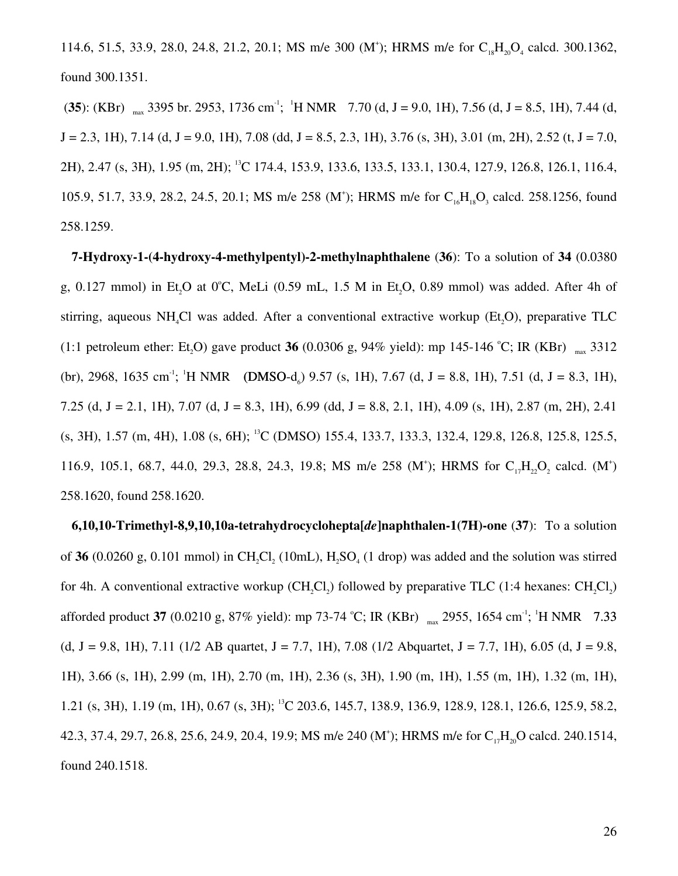114.6, 51.5, 33.9, 28.0, 24.8, 21.2, 20.1; MS m/e 300 (M<sup>+</sup>); HRMS m/e for C<sub>18</sub>H<sub>20</sub>O<sub>4</sub> calcd. 300.1362, found 300.1351.

(35): (KBr)  $_{max}$  3395 br. 2953, 1736 cm<sup>-1</sup>; <sup>1</sup>H NMR 7.70 (d, J = 9.0, 1H), 7.56 (d, J = 8.5, 1H), 7.44 (d,  $J = 2.3$ , 1H), 7.14 (d,  $J = 9.0$ , 1H), 7.08 (dd,  $J = 8.5$ , 2.3, 1H), 3.76 (s, 3H), 3.01 (m, 2H), 2.52 (t,  $J = 7.0$ , 2H), 2.47 (s, 3H), 1.95 (m, 2H); <sup>13</sup>C 174.4, 153.9, 133.6, 133.5, 133.1, 130.4, 127.9, 126.8, 126.1, 116.4, 105.9, 51.7, 33.9, 28.2, 24.5, 20.1; MS m/e 258 (M<sup>+</sup>); HRMS m/e for C<sub>16</sub>H<sub>18</sub>O<sub>3</sub> calcd. 258.1256, found 258.1259.

**7-Hydroxy-1-(4-hydroxy-4-methylpentyl)-2-methylnaphthalene** (**36**): To a solution of **34** (0.0380 g,  $0.127$  mmol) in Et<sub>0</sub>O at  $0^{\circ}$ C, MeLi  $(0.59 \text{ mL}, 1.5 \text{ M}$  in Et<sub>0</sub>O, 0.89 mmol) was added. After 4h of stirring, aqueous NH<sub>4</sub>Cl was added. After a conventional extractive workup (Et<sub>3</sub>O), preparative TLC  $(1:1 \text{ petroleum ether: Et}_2O)$  gave product **36** (0.0306 g, 94% yield): mp 145-146 °C; IR (KBr)  $_{\text{max}}$  3312 (br), 2968, 1635 cm<sup>-1</sup>; <sup>1</sup>H NMR (DMSO-d<sub>6</sub>) 9.57 (s, 1H), 7.67 (d, J = 8.8, 1H), 7.51 (d, J = 8.3, 1H), 7.25 (d, J = 2.1, 1H), 7.07 (d, J = 8.3, 1H), 6.99 (dd, J = 8.8, 2.1, 1H), 4.09 (s, 1H), 2.87 (m, 2H), 2.41  $(s, 3H)$ , 1.57 (m, 4H), 1.08 (s, 6H); <sup>13</sup>C (DMSO) 155.4, 133.7, 133.3, 132.4, 129.8, 126.8, 125.8, 125.5, 116.9, 105.1, 68.7, 44.0, 29.3, 28.8, 24.3, 19.8; MS m/e 258 (M<sup>+</sup>); HRMS for C<sub>17</sub>H<sub>22</sub>O<sub>2</sub> calcd. (M<sup>+</sup>) 258.1620, found 258.1620.

**6,10,10-Trimethyl-8,9,10,10a-tetrahydrocyclohepta[***de***]naphthalen-1(7H)-one** (**37**): To a solution of 36 (0.0260 g, 0.101 mmol) in  $CH_2Cl_2$  (10mL),  $H_2SO_4$  (1 drop) was added and the solution was stirred for 4h. A conventional extractive workup  $(CH_2Cl_2)$  followed by preparative TLC (1:4 hexanes:  $CH_2Cl_2$ ) afforded product 37 (0.0210 g, 87% yield): mp 73-74 °C; IR (KBr)  $_{max}$  2955, 1654 cm<sup>-1</sup>; <sup>1</sup>H NMR 7.33 (d, J = 9.8, 1H), 7.11 (1/2 AB quartet, J = 7.7, 1H), 7.08 (1/2 Abquartet, J = 7.7, 1H), 6.05 (d, J = 9.8, 1H), 3.66 (s, 1H), 2.99 (m, 1H), 2.70 (m, 1H), 2.36 (s, 3H), 1.90 (m, 1H), 1.55 (m, 1H), 1.32 (m, 1H), 1.21 (s, 3H), 1.19 (m, 1H), 0.67 (s, 3H); <sup>13</sup>C 203.6, 145.7, 138.9, 136.9, 128.9, 128.1, 126.6, 125.9, 58.2, 42.3, 37.4, 29.7, 26.8, 25.6, 24.9, 20.4, 19.9; MS m/e 240 (M<sup>+</sup>); HRMS m/e for C<sub>17</sub>H<sub>20</sub>O calcd. 240.1514, found 240.1518.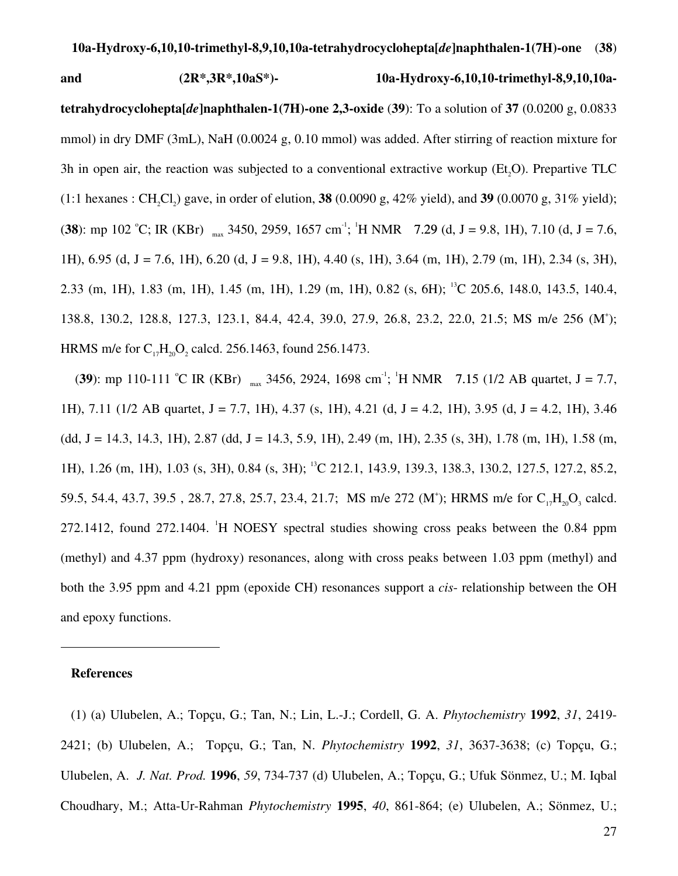## **and (2R\*,3R\*,10aS\*)- 10a-Hydroxy-6,10,10-trimethyl-8,9,10,10atetrahydrocyclohepta[***de***]naphthalen-1(7H)-one 2,3-oxide** (**39**): To a solution of **37** (0.0200 g, 0.0833 mmol) in dry DMF (3mL), NaH (0.0024 g, 0.10 mmol) was added. After stirring of reaction mixture for 3h in open air, the reaction was subjected to a conventional extractive workup ( $Et$ , $O$ ). Prepartive TLC  $(1:1 \text{ hexanes}: CH_2Cl_2)$  gave, in order of elution, **38**  $(0.0090 \text{ g}, 42\% \text{ yield})$ , and **39**  $(0.0070 \text{ g}, 31\% \text{ yield})$ ; (**38**): mp 102 °C; IR (KBr)  $_{\text{max}}$  3450, 2959, 1657 cm<sup>-1</sup>; <sup>1</sup>H NMR 7.29 (d, J = 9.8, 1H), 7.10 (d, J = 7.6, 1H), 6.95 (d, J = 7.6, 1H), 6.20 (d, J = 9.8, 1H), 4.40 (s, 1H), 3.64 (m, 1H), 2.79 (m, 1H), 2.34 (s, 3H),

2.33 (m, 1H), 1.83 (m, 1H), 1.45 (m, 1H), 1.29 (m, 1H), 0.82 (s, 6H); <sup>13</sup>C 205.6, 148.0, 143.5, 140.4, 138.8, 130.2, 128.8, 127.3, 123.1, 84.4, 42.4, 39.0, 27.9, 26.8, 23.2, 22.0, 21.5; MS m/e 256 (M<sup>+</sup> ); HRMS m/e for  $C_{17}H_{20}O_2$  calcd. 256.1463, found 256.1473.

(39): mp 110-111 °C IR (KBr)  $_{max}$  3456, 2924, 1698 cm<sup>-1</sup>; <sup>1</sup>H NMR 7.15 (1/2 AB quartet, J = 7.7, 1H), 7.11 (1/2 AB quartet, J = 7.7, 1H), 4.37 (s, 1H), 4.21 (d, J = 4.2, 1H), 3.95 (d, J = 4.2, 1H), 3.46  $(dd, J = 14.3, 14.3, 1H), 2.87 (dd, J = 14.3, 5.9, 1H), 2.49 (m, 1H), 2.35 (s, 3H), 1.78 (m, 1H), 1.58 (m,$ 1H), 1.26 (m, 1H), 1.03 (s, 3H), 0.84 (s, 3H); <sup>13</sup>C 212.1, 143.9, 139.3, 138.3, 130.2, 127.5, 127.2, 85.2, 59.5, 54.4, 43.7, 39.5, 28.7, 27.8, 25.7, 23.4, 21.7; MS m/e 272 (M<sup>+</sup>); HRMS m/e for C<sub>17</sub>H<sub>20</sub>O<sub>3</sub> calcd. 272.1412, found 272.1404. <sup>1</sup>H NOESY spectral studies showing cross peaks between the 0.84 ppm (methyl) and 4.37 ppm (hydroxy) resonances, along with cross peaks between 1.03 ppm (methyl) and both the 3.95 ppm and 4.21 ppm (epoxide CH) resonances support a *cis*- relationship between the OH and epoxy functions.

#### **References**

-

(1) (a) Ulubelen, A.; Topçu, G.; Tan, N.; Lin, L.-J.; Cordell, G. A. *Phytochemistry* **1992**, *31*, 2419- 2421; (b) Ulubelen, A.; Topçu, G.; Tan, N. *Phytochemistry* **1992**, *31*, 3637-3638; (c) Topçu, G.; Ulubelen, A. *J. Nat. Prod.* **1996**, *59*, 734-737 (d) Ulubelen, A.; Topçu, G.; Ufuk Sönmez, U.; M. Iqbal Choudhary, M.; Atta-Ur-Rahman *Phytochemistry* **1995**, *40*, 861-864; (e) Ulubelen, A.; Sönmez, U.;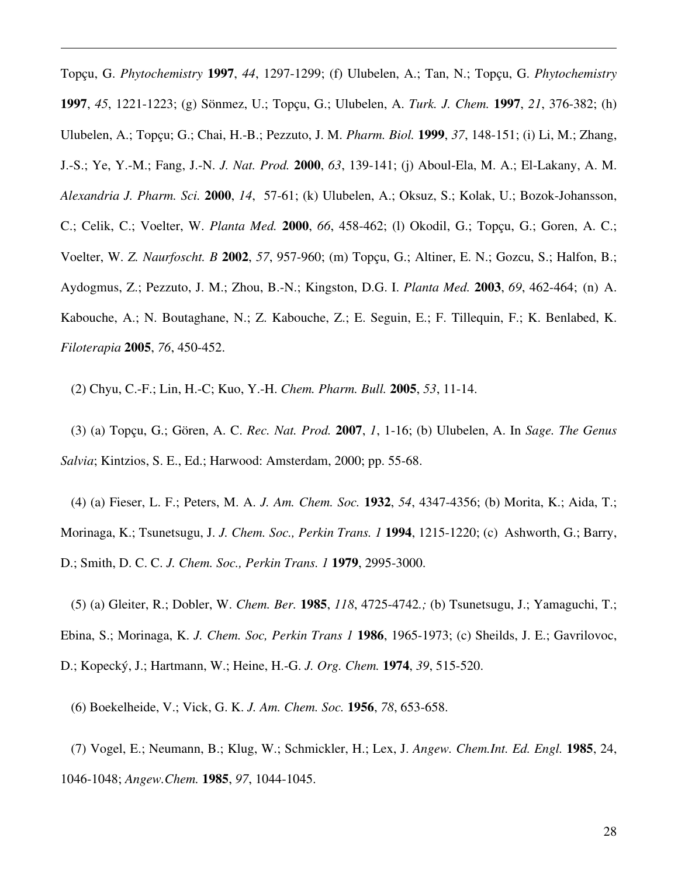Topçu, G. *Phytochemistry* **1997**, *44*, 1297-1299; (f) Ulubelen, A.; Tan, N.; Topçu, G. *Phytochemistry* **1997**, *45*, 1221-1223; (g) Sönmez, U.; Topçu, G.; Ulubelen, A. *Turk. J. Chem.* **1997**, *21*, 376-382; (h) Ulubelen, A.; Topçu; G.; Chai, H.-B.; Pezzuto, J. M. *Pharm. Biol.* **1999**, *37*, 148-151; (i) Li, M.; Zhang, J.-S.; Ye, Y.-M.; Fang, J.-N. *J. Nat. Prod.* **2000**, *63*, 139-141; (j) Aboul-Ela, M. A.; El-Lakany, A. M. *Alexandria J. Pharm. Sci.* **2000**, *14*, 57-61; (k) Ulubelen, A.; Oksuz, S.; Kolak, U.; Bozok-Johansson, C.; Celik, C.; Voelter, W. *Planta Med.* **2000**, *66*, 458-462; (l) Okodil, G.; Topçu, G.; Goren, A. C.; Voelter, W. *Z. Naurfoscht. B* **2002**, *57*, 957-960; (m) Topçu, G.; Altiner, E. N.; Gozcu, S.; Halfon, B.; Aydogmus, Z.; Pezzuto, J. M.; Zhou, B.-N.; Kingston, D.G. I. *Planta Med.* **2003**, *69*, 462-464; (n) A. Kabouche, A.; N. Boutaghane, N.; Z. Kabouche, Z.; E. Seguin, E.; F. Tillequin, F.; K. Benlabed, K. *Filoterapia* **2005**, *76*, 450-452.

(2) Chyu, C.-F.; Lin, H.-C; Kuo, Y.-H. *Chem. Pharm. Bull.* **2005**, *53*, 11-14.

-

(3) (a) Topçu, G.; Gören, A. C. *Rec. Nat. Prod.* **2007**, *1*, 1-16; (b) Ulubelen, A. In *Sage. The Genus Salvia*; Kintzios, S. E., Ed.; Harwood: Amsterdam, 2000; pp. 55-68.

(4) (a) Fieser, L. F.; Peters, M. A. *J. Am. Chem. Soc.* **1932**, *54*, 4347-4356; (b) Morita, K.; Aida, T.; Morinaga, K.; Tsunetsugu, J. *J. Chem. Soc., Perkin Trans. 1* **1994**, 1215-1220; (c) Ashworth, G.; Barry, D.; Smith, D. C. C. *J. Chem. Soc., Perkin Trans. 1* **1979**, 2995-3000.

(5) (a) Gleiter, R.; Dobler, W. *Chem. Ber.* **1985**, *118*, 4725-4742*.;* (b) Tsunetsugu, J.; Yamaguchi, T.; Ebina, S.; Morinaga, K. *J. Chem. Soc, Perkin Trans 1* **1986**, 1965-1973; (c) Sheilds, J. E.; Gavrilovoc, D.; Kopecký, J.; Hartmann, W.; Heine, H.-G. *J. Org. Chem.* **1974**, *39*, 515-520.

(6) Boekelheide, V.; Vick, G. K. *J. Am. Chem. Soc.* **1956**, *78*, 653-658.

(7) Vogel, E.; Neumann, B.; Klug, W.; Schmickler, H.; Lex, J. *Angew. Chem.Int. Ed. Engl.* **1985**, 24, 1046-1048; *Angew.Chem.* **1985**, *97*, 1044-1045.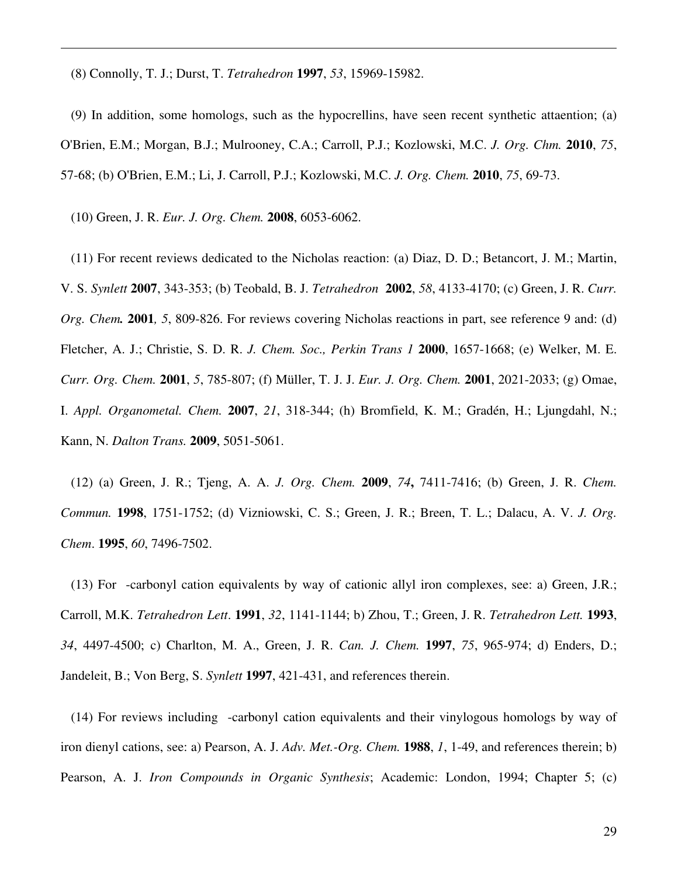(8) Connolly, T. J.; Durst, T. *Tetrahedron* **1997**, *53*, 15969-15982.

(9) In addition, some homologs, such as the hypocrellins, have seen recent synthetic attaention; (a) O'Brien, E.M.; Morgan, B.J.; Mulrooney, C.A.; Carroll, P.J.; Kozlowski, M.C. *J. Org. Chm.* **2010**, *75*, 57-68; (b) O'Brien, E.M.; Li, J. Carroll, P.J.; Kozlowski, M.C. *J. Org. Chem.* **2010**, *75*, 69-73.

(10) Green, J. R. *Eur. J. Org. Chem.* **2008**, 6053-6062.

-

(11) For recent reviews dedicated to the Nicholas reaction: (a) Diaz, D. D.; Betancort, J. M.; Martin, V. S. *Synlett* **2007**, 343-353; (b) Teobald, B. J. *Tetrahedron* **2002**, *58*, 4133-4170; (c) Green, J. R. *Curr. Org. Chem.* **2001***, 5*, 809-826. For reviews covering Nicholas reactions in part, see reference 9 and: (d) Fletcher, A. J.; Christie, S. D. R. *J. Chem. Soc., Perkin Trans 1* **2000**, 1657-1668; (e) Welker, M. E. *Curr. Org. Chem.* **2001**, *5*, 785-807; (f) Müller, T. J. J. *Eur. J. Org. Chem.* **2001**, 2021-2033; (g) Omae, I. *Appl. Organometal. Chem.* **2007**, *21*, 318-344; (h) Bromfield, K. M.; Gradén, H.; Ljungdahl, N.; Kann, N. *Dalton Trans.* **2009**, 5051-5061.

(12) (a) Green, J. R.; Tjeng, A. A. *J. Org. Chem.* **2009**, *74***,** 7411-7416; (b) Green, J. R. *Chem. Commun.* **1998**, 1751-1752; (d) Vizniowski, C. S.; Green, J. R.; Breen, T. L.; Dalacu, A. V. *J. Org. Chem*. **1995**, *60*, 7496-7502.

(13) For -carbonyl cation equivalents by way of cationic allyl iron complexes, see: a) Green, J.R.; Carroll, M.K. *Tetrahedron Lett*. **1991**, *32*, 1141-1144; b) Zhou, T.; Green, J. R. *Tetrahedron Lett.* **1993**, *34*, 4497-4500; c) Charlton, M. A., Green, J. R. *Can. J. Chem.* **1997**, *75*, 965-974; d) Enders, D.; Jandeleit, B.; Von Berg, S. *Synlett* **1997**, 421-431, and references therein.

(14) For reviews including -carbonyl cation equivalents and their vinylogous homologs by way of iron dienyl cations, see: a) Pearson, A. J. *Adv. Met.-Org. Chem.* **1988**, *1*, 1-49, and references therein; b) Pearson, A. J. *Iron Compounds in Organic Synthesis*; Academic: London, 1994; Chapter 5; (c)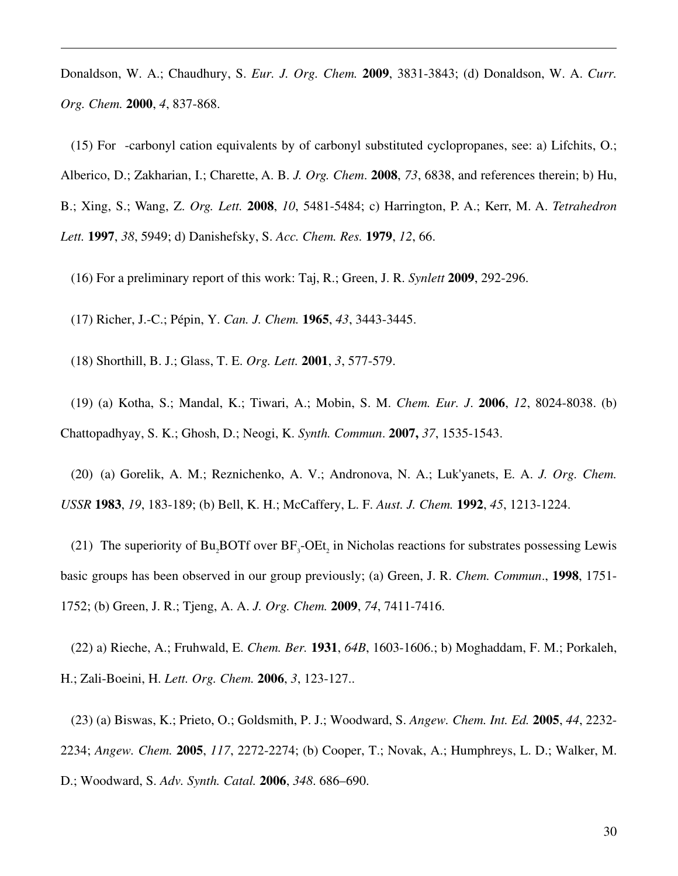Donaldson, W. A.; Chaudhury, S. *Eur. J. Org. Chem.* **2009**, 3831-3843; (d) Donaldson, W. A. *Curr. Org. Chem.* **2000**, *4*, 837-868.

(15) For -carbonyl cation equivalents by of carbonyl substituted cyclopropanes, see: a) Lifchits, O.; Alberico, D.; Zakharian, I.; Charette, A. B. *J. Org. Chem*. **2008**, *73*, 6838, and references therein; b) Hu, B.; Xing, S.; Wang, Z. *Org. Lett.* **2008**, *10*, 5481-5484; c) Harrington, P. A.; Kerr, M. A. *Tetrahedron Lett.* **1997**, *38*, 5949; d) Danishefsky, S. *Acc. Chem. Res.* **1979**, *12*, 66.

(16) For a preliminary report of this work: Taj, R.; Green, J. R. *Synlett* **2009**, 292-296.

(17) Richer, J.-C.; Pépin, Y. *Can. J. Chem.* **1965**, *43*, 3443-3445.

(18) Shorthill, B. J.; Glass, T. E. *Org. Lett.* **2001**, *3*, 577-579.

-

(19) (a) Kotha, S.; Mandal, K.; Tiwari, A.; Mobin, S. M. *Chem. Eur. J*. **2006**, *12*, 8024-8038. (b) Chattopadhyay, S. K.; Ghosh, D.; Neogi, K. *Synth. Commun*. **2007,** *37*, 1535-1543.

(20) (a) Gorelik, A. M.; Reznichenko, A. V.; Andronova, N. A.; Luk'yanets, E. A. *J. Org. Chem. USSR* **1983**, *19*, 183-189; (b) Bell, K. H.; McCaffery, L. F. *Aust. J. Chem.* **1992**, *45*, 1213-1224.

(21) The superiority of Bu<sub>2</sub>BOTf over  $BF_3$ -OEt<sub>2</sub> in Nicholas reactions for substrates possessing Lewis basic groups has been observed in our group previously; (a) Green, J. R. *Chem. Commun*., **1998**, 1751- 1752; (b) Green, J. R.; Tjeng, A. A. *J. Org. Chem.* **2009**, *74*, 7411-7416.

(22) a) Rieche, A.; Fruhwald, E. *Chem. Ber.* **1931**, *64B*, 1603-1606.; b) Moghaddam, F. M.; Porkaleh, H.; Zali-Boeini, H. *Lett. Org. Chem.* **2006**, *3*, 123-127..

(23) (a) Biswas, K.; Prieto, O.; Goldsmith, P. J.; Woodward, S. *Angew. Chem. Int. Ed.* **2005**, *44*, 2232- 2234; *Angew. Chem.* **2005**, *117*, 2272-2274; (b) Cooper, T.; Novak, A.; Humphreys, L. D.; Walker, M. D.; Woodward, S. *Adv. Synth. Catal.* **2006**, *348*. 686–690.